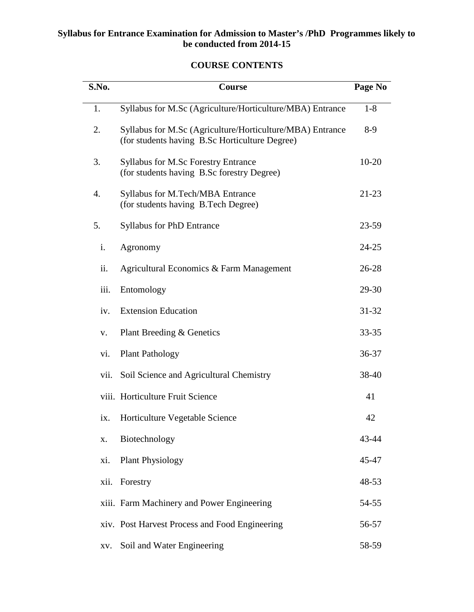# **Syllabus for Entrance Examination for Admission to Master's /PhD Programmes likely to be conducted from 2014-15**

# **COURSE CONTENTS**

| S.No. | Course                                                                                                      | Page No   |
|-------|-------------------------------------------------------------------------------------------------------------|-----------|
| 1.    | Syllabus for M.Sc (Agriculture/Horticulture/MBA) Entrance                                                   | $1-8$     |
| 2.    | Syllabus for M.Sc (Agriculture/Horticulture/MBA) Entrance<br>(for students having B.Sc Horticulture Degree) | $8-9$     |
| 3.    | <b>Syllabus for M.Sc Forestry Entrance</b><br>(for students having B.Sc forestry Degree)                    | $10 - 20$ |
| 4.    | <b>Syllabus for M.Tech/MBA Entrance</b><br>(for students having B.Tech Degree)                              | $21 - 23$ |
| 5.    | <b>Syllabus for PhD Entrance</b>                                                                            | $23 - 59$ |
| i.    | Agronomy                                                                                                    | $24 - 25$ |
| ii.   | Agricultural Economics & Farm Management                                                                    | $26 - 28$ |
| iii.  | Entomology                                                                                                  | 29-30     |
| iv.   | <b>Extension Education</b>                                                                                  | $31 - 32$ |
| V.    | Plant Breeding & Genetics                                                                                   | $33 - 35$ |
| vi.   | <b>Plant Pathology</b>                                                                                      | $36 - 37$ |
| vii.  | Soil Science and Agricultural Chemistry                                                                     | 38-40     |
|       | viii. Horticulture Fruit Science                                                                            | 41        |
| ix.   | Horticulture Vegetable Science                                                                              | 42        |
| X.    | Biotechnology                                                                                               | 43-44     |
| xi.   | <b>Plant Physiology</b>                                                                                     | 45-47     |
| xii.  | Forestry                                                                                                    | 48-53     |
|       | xiii. Farm Machinery and Power Engineering                                                                  | 54-55     |
|       | xiv. Post Harvest Process and Food Engineering                                                              | 56-57     |
| XV.   | Soil and Water Engineering                                                                                  | 58-59     |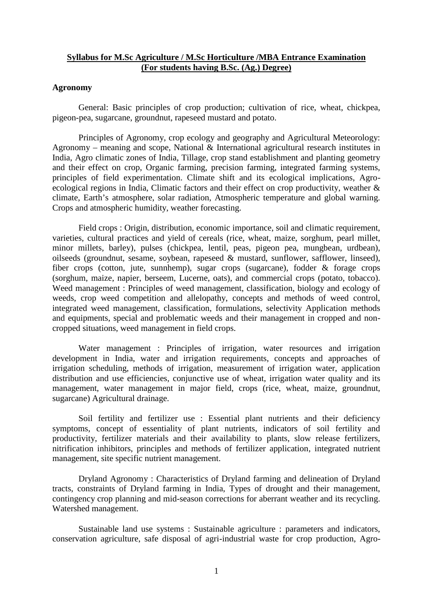## **Syllabus for M.Sc Agriculture / M.Sc Horticulture /MBA Entrance Examination (For students having B.Sc. (Ag.) Degree)**

### **Agronomy**

General: Basic principles of crop production; cultivation of rice, wheat, chickpea, pigeon-pea, sugarcane, groundnut, rapeseed mustard and potato.

Principles of Agronomy, crop ecology and geography and Agricultural Meteorology: Agronomy – meaning and scope, National & International agricultural research institutes in India, Agro climatic zones of India, Tillage, crop stand establishment and planting geometry and their effect on crop, Organic farming, precision farming, integrated farming systems, principles of field experimentation. Climate shift and its ecological implications, Agro ecological regions in India, Climatic factors and their effect on crop productivity, weather & climate, Earth's atmosphere, solar radiation, Atmospheric temperature and global warning. Crops and atmospheric humidity, weather forecasting.

Field crops : Origin, distribution, economic importance, soil and climatic requirement, varieties, cultural practices and yield of cereals (rice, wheat, maize, sorghum, pearl millet, minor millets, barley), pulses (chickpea, lentil, peas, pigeon pea, mungbean, urdbean), oilseeds (groundnut, sesame, soybean, rapeseed & mustard, sunflower, safflower, linseed), fiber crops (cotton, jute, sunnhemp), sugar crops (sugarcane), fodder & forage crops (sorghum, maize, napier, berseem, Lucerne, oats), and commercial crops (potato, tobacco). Weed management : Principles of weed management, classification, biology and ecology of weeds, crop weed competition and allelopathy, concepts and methods of weed control, integrated weed management, classification, formulations, selectivity Application methods and equipments, special and problematic weeds and their management in cropped and non cropped situations, weed management in field crops.

Water management : Principles of irrigation, water resources and irrigation development in India, water and irrigation requirements, concepts and approaches of irrigation scheduling, methods of irrigation, measurement of irrigation water, application distribution and use efficiencies, conjunctive use of wheat, irrigation water quality and its management, water management in major field, crops (rice, wheat, maize, groundnut, sugarcane) Agricultural drainage.

Soil fertility and fertilizer use : Essential plant nutrients and their deficiency symptoms, concept of essentiality of plant nutrients, indicators of soil fertility and productivity, fertilizer materials and their availability to plants, slow release fertilizers, nitrification inhibitors, principles and methods of fertilizer application, integrated nutrient management, site specific nutrient management.

Dryland Agronomy : Characteristics of Dryland farming and delineation of Dryland tracts, constraints of Dryland farming in India, Types of drought and their management, contingency crop planning and mid-season corrections for aberrant weather and its recycling. Watershed management.

Sustainable land use systems : Sustainable agriculture : parameters and indicators, conservation agriculture, safe disposal of agri-industrial waste for crop production, Agro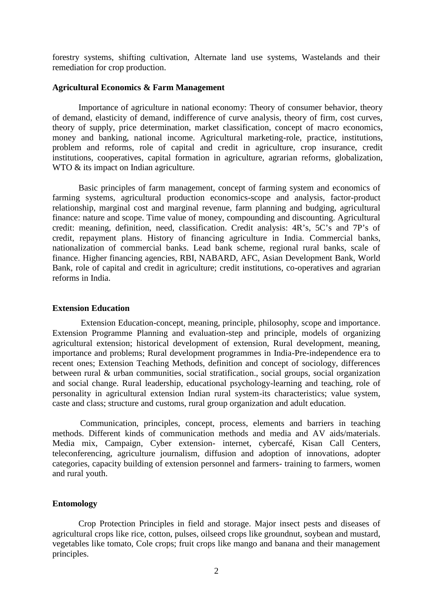forestry systems, shifting cultivation, Alternate land use systems, Wastelands and their remediation for crop production.

#### **Agricultural Economics & Farm Management**

Importance of agriculture in national economy: Theory of consumer behavior, theory of demand, elasticity of demand, indifference of curve analysis, theory of firm, cost curves, theory of supply, price determination, market classification, concept of macro economics, money and banking, national income. Agricultural marketing-role, practice, institutions, problem and reforms, role of capital and credit in agriculture, crop insurance, credit institutions, cooperatives, capital formation in agriculture, agrarian reforms, globalization, WTO  $&$  its impact on Indian agriculture.

Basic principles of farm management, concept of farming system and economics of farming systems, agricultural production economics-scope and analysis, factor-product relationship, marginal cost and marginal revenue, farm planning and budging, agricultural finance: nature and scope. Time value of money, compounding and discounting. Agricultural credit: meaning, definition, need, classification. Credit analysis: 4R's, 5C's and 7P's of credit, repayment plans. History of financing agriculture in India. Commercial banks, nationalization of commercial banks. Lead bank scheme, regional rural banks, scale of finance. Higher financing agencies, RBI, NABARD, AFC, Asian Development Bank, World Bank, role of capital and credit in agriculture; credit institutions, co-operatives and agrarian reforms in India.

#### **Extension Education**

Extension Education-concept, meaning, principle, philosophy, scope and importance. Extension Programme Planning and evaluation-step and principle, models of organizing agricultural extension; historical development of extension, Rural development, meaning, importance and problems; Rural development programmes in India-Pre-independence era to recent ones; Extension Teaching Methods, definition and concept of sociology, differences between rural & urban communities, social stratification., social groups, social organization and social change. Rural leadership, educational psychology-learning and teaching, role of personality in agricultural extension Indian rural system-its characteristics; value system, caste and class; structure and customs, rural group organization and adult education.

Communication, principles, concept, process, elements and barriers in teaching methods. Different kinds of communication methods and media and AV aids/materials. Media mix, Campaign, Cyber extension- internet, cybercafé, Kisan Call Centers, teleconferencing, agriculture journalism, diffusion and adoption of innovations, adopter categories, capacity building of extension personnel and farmers- training to farmers, women and rural youth.

#### **Entomology**

Crop Protection Principles in field and storage. Major insect pests and diseases of agricultural crops like rice, cotton, pulses, oilseed crops like groundnut, soybean and mustard, vegetables like tomato, Cole crops; fruit crops like mango and banana and their management principles.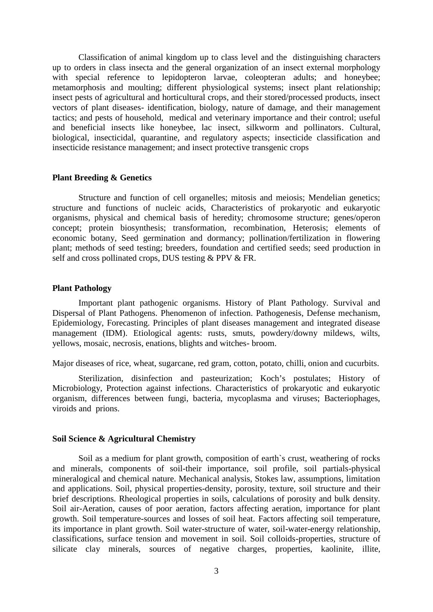Classification of animal kingdom up to class level and the distinguishing characters up to orders in class insecta and the general organization of an insect external morphology with special reference to lepidopteron larvae, coleopteran adults; and honeybee; metamorphosis and moulting; different physiological systems; insect plant relationship; insect pests of agricultural and horticultural crops, and their stored/processed products, insect vectors of plant diseases- identification, biology, nature of damage, and their management tactics; and pests of household, medical and veterinary importance and their control; useful and beneficial insects like honeybee, lac insect, silkworm and pollinators. Cultural, biological, insecticidal, quarantine, and regulatory aspects; insecticide classification and insecticide resistance management; and insect protective transgenic crops

### **Plant Breeding & Genetics**

Structure and function of cell organelles; mitosis and meiosis; Mendelian genetics; structure and functions of nucleic acids, Characteristics of prokaryotic and eukaryotic organisms, physical and chemical basis of heredity; chromosome structure; genes/operon concept; protein biosynthesis; transformation, recombination, Heterosis; elements of economic botany, Seed germination and dormancy; pollination/fertilization in flowering plant; methods of seed testing; breeders, foundation and certified seeds; seed production in self and cross pollinated crops, DUS testing & PPV & FR.

#### **Plant Pathology**

Important plant pathogenic organisms. History of Plant Pathology. Survival and Dispersal of Plant Pathogens. Phenomenon of infection. Pathogenesis, Defense mechanism, Epidemiology, Forecasting. Principles of plant diseases management and integrated disease management (IDM). Etiological agents: rusts, smuts, powdery/downy mildews, wilts, yellows, mosaic, necrosis, enations, blights and witches- broom.

Major diseases of rice, wheat, sugarcane, red gram, cotton, potato, chilli, onion and cucurbits.

Sterilization, disinfection and pasteurization; Koch's postulates; History of Microbiology, Protection against infections. Characteristics of prokaryotic and eukaryotic organism, differences between fungi, bacteria, mycoplasma and viruses; Bacteriophages, viroids and prions.

#### **Soil Science & Agricultural Chemistry**

Soil as a medium for plant growth, composition of earth`s crust, weathering of rocks and minerals, components of soil-their importance, soil profile, soil partials-physical mineralogical and chemical nature. Mechanical analysis, Stokes law, assumptions, limitation and applications. Soil, physical properties-density, porosity, texture, soil structure and their brief descriptions. Rheological properties in soils, calculations of porosity and bulk density. Soil air-Aeration, causes of poor aeration, factors affecting aeration, importance for plant growth. Soil temperature-sources and losses of soil heat. Factors affecting soil temperature, its importance in plant growth. Soil water-structure of water, soil-water-energy relationship, classifications, surface tension and movement in soil. Soil colloids-properties, structure of silicate clay minerals, sources of negative charges, properties, kaolinite, illite,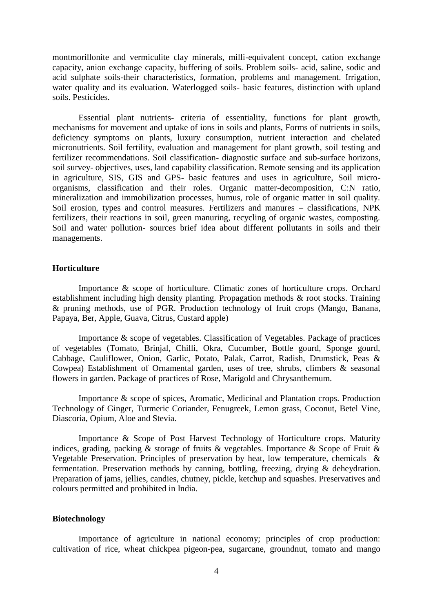montmorillonite and vermiculite clay minerals, milli-equivalent concept, cation exchange capacity, anion exchange capacity, buffering of soils. Problem soils- acid, saline, sodic and acid sulphate soils-their characteristics, formation, problems and management. Irrigation, water quality and its evaluation. Waterlogged soils- basic features, distinction with upland soils. Pesticides.

Essential plant nutrients- criteria of essentiality, functions for plant growth, mechanisms for movement and uptake of ions in soils and plants, Forms of nutrients in soils, deficiency symptoms on plants, luxury consumption, nutrient interaction and chelated micronutrients. Soil fertility, evaluation and management for plant growth, soil testing and fertilizer recommendations. Soil classification- diagnostic surface and sub-surface horizons, soil survey- objectives, uses, land capability classification. Remote sensing and its application in agriculture, SIS, GIS and GPS- basic features and uses in agriculture, Soil micro organisms, classification and their roles. Organic matter-decomposition, C:N ratio, mineralization and immobilization processes, humus, role of organic matter in soil quality. Soil erosion, types and control measures. Fertilizers and manures – classifications, NPK fertilizers, their reactions in soil, green manuring, recycling of organic wastes, composting. Soil and water pollution- sources brief idea about different pollutants in soils and their managements.

### **Horticulture**

Importance & scope of horticulture. Climatic zones of horticulture crops. Orchard establishment including high density planting. Propagation methods & root stocks. Training & pruning methods, use of PGR. Production technology of fruit crops (Mango, Banana, Papaya, Ber, Apple, Guava, Citrus, Custard apple)

Importance & scope of vegetables. Classification of Vegetables. Package of practices of vegetables (Tomato, Brinjal, Chilli, Okra, Cucumber, Bottle gourd, Sponge gourd, Cabbage, Cauliflower, Onion, Garlic, Potato, Palak, Carrot, Radish, Drumstick, Peas & Cowpea) Establishment of Ornamental garden, uses of tree, shrubs, climbers & seasonal flowers in garden. Package of practices of Rose, Marigold and Chrysanthemum.

Importance & scope of spices, Aromatic, Medicinal and Plantation crops. Production Technology of Ginger, Turmeric Coriander, Fenugreek, Lemon grass, Coconut, Betel Vine, Diascoria, Opium, Aloe and Stevia.

Importance & Scope of Post Harvest Technology of Horticulture crops. Maturity indices, grading, packing & storage of fruits & vegetables. Importance & Scope of Fruit & Vegetable Preservation. Principles of preservation by heat, low temperature, chemicals & fermentation. Preservation methods by canning, bottling, freezing, drying & deheydration. Preparation of jams, jellies, candies, chutney, pickle, ketchup and squashes. Preservatives and colours permitted and prohibited in India.

### **Biotechnology**

Importance of agriculture in national economy; principles of crop production: cultivation of rice, wheat chickpea pigeon-pea, sugarcane, groundnut, tomato and mango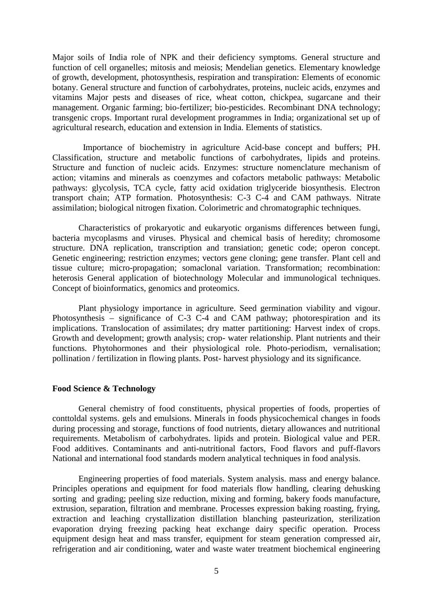Major soils of India role of NPK and their deficiency symptoms. General structure and function of cell organelles; mitosis and meiosis; Mendelian genetics. Elementary knowledge of growth, development, photosynthesis, respiration and transpiration: Elements of economic botany. General structure and function of carbohydrates, proteins, nucleic acids, enzymes and vitamins Major pests and diseases of rice, wheat cotton, chickpea, sugarcane and their management. Organic farming; bio-fertilizer; bio-pesticides. Recombinant DNA technology; transgenic crops. Important rural development programmes in India; organizational set up of agricultural research, education and extension in India. Elements of statistics.

Importance of biochemistry in agriculture Acid-base concept and buffers; PH. Classification, structure and metabolic functions of carbohydrates, lipids and proteins. Structure and function of nucleic acids. Enzymes: structure nomenclature mechanism of action; vitamins and minerals as coenzymes and cofactors metabolic pathways: Metabolic pathways: glycolysis, TCA cycle, fatty acid oxidation triglyceride biosynthesis. Electron transport chain; ATP formation. Photosynthesis: C-3 C-4 and CAM pathways. Nitrate assimilation; biological nitrogen fixation. Colorimetric and chromatographic techniques.

Characteristics of prokaryotic and eukaryotic organisms differences between fungi, bacteria mycoplasms and viruses. Physical and chemical basis of heredity; chromosome structure. DNA replication, transcription and transiation; genetic code; operon concept. Genetic engineering; restriction enzymes; vectors gene cloning; gene transfer. Plant cell and tissue culture; micro-propagation; somaclonal variation. Transformation; recombination: heterosis General application of biotechnology Molecular and immunological techniques. Concept of bioinformatics, genomics and proteomics.

Plant physiology importance in agriculture. Seed germination viability and vigour. Photosynthesis – significance of C-3 C-4 and CAM pathway; photorespiration and its implications. Translocation of assimilates; dry matter partitioning: Harvest index of crops. Growth and development; growth analysis; crop- water relationship. Plant nutrients and their functions. Phytohormones and their physiological role. Photo-periodism, vernalisation; pollination / fertilization in flowing plants. Post- harvest physiology and its significance.

#### **Food Science & Technology**

General chemistry of food constituents, physical properties of foods, properties of conttoldal systems. gels and emulsions. Minerals in foods physicochemical changes in foods during processing and storage, functions of food nutrients, dietary allowances and nutritional requirements. Metabolism of carbohydrates. lipids and protein. Biological value and PER. Food additives. Contaminants and anti-nutritional factors, Food flavors and puff-flavors National and international food standards modern analytical techniques in food analysis.

Engineering properties of food materials. System analysis. mass and energy balance. Principles operations and equipment for food materials flow handling, clearing dehusking sorting and grading; peeling size reduction, mixing and forming, bakery foods manufacture, extrusion, separation, filtration and membrane. Processes expression baking roasting, frying, extraction and leaching crystallization distillation blanching pasteurization, sterilization evaporation drying freezing packing heat exchange dairy specific operation. Process equipment design heat and mass transfer, equipment for steam generation compressed air, refrigeration and air conditioning, water and waste water treatment biochemical engineering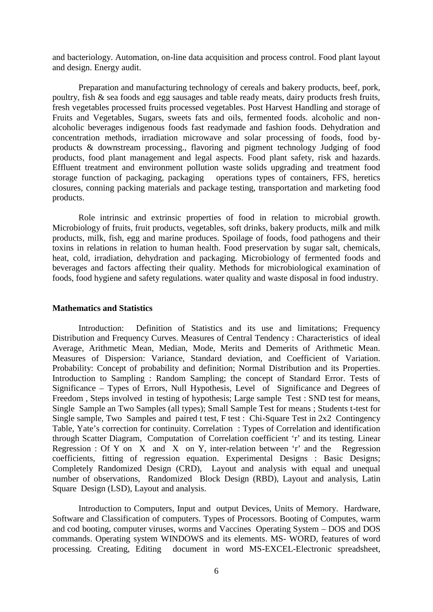and bacteriology. Automation, on-line data acquisition and process control. Food plant layout and design. Energy audit.

Preparation and manufacturing technology of cereals and bakery products, beef, pork, poultry, fish & sea foods and egg sausages and table ready meats, dairy products fresh fruits, fresh vegetables processed fruits processed vegetables. Post Harvest Handling and storage of Fruits and Vegetables, Sugars, sweets fats and oils, fermented foods. alcoholic and non alcoholic beverages indigenous foods fast readymade and fashion foods. Dehydration and concentration methods, irradiation microwave and solar processing of foods, food by products & downstream processing., flavoring and pigment technology Judging of food products, food plant management and legal aspects. Food plant safety, risk and hazards. Effluent treatment and environment pollution waste solids upgrading and treatment food storage function of packaging, packaging operations types of containers, FFS, heretics closures, conning packing materials and package testing, transportation and marketing food products.

Role intrinsic and extrinsic properties of food in relation to microbial growth. Microbiology of fruits, fruit products, vegetables, soft drinks, bakery products, milk and milk products, milk, fish, egg and marine produces. Spoilage of foods, food pathogens and their toxins in relations in relation to human health. Food preservation by sugar salt, chemicals, heat, cold, irradiation, dehydration and packaging. Microbiology of fermented foods and beverages and factors affecting their quality. Methods for microbiological examination of foods, food hygiene and safety regulations. water quality and waste disposal in food industry.

### **Mathematics and Statistics**

Introduction: Definition of Statistics and its use and limitations; Frequency Distribution and Frequency Curves. Measures of Central Tendency : Characteristics of ideal Average, Arithmetic Mean, Median, Mode, Merits and Demerits of Arithmetic Mean. Measures of Dispersion: Variance, Standard deviation, and Coefficient of Variation. Probability: Concept of probability and definition; Normal Distribution and its Properties. Introduction to Sampling : Random Sampling; the concept of Standard Error. Tests of Significance – Types of Errors, Null Hypothesis, Level of Significance and Degrees of Freedom , Steps involved in testing of hypothesis; Large sample Test : SND test for means, Single Sample an Two Samples (all types); Small Sample Test for means ; Students t-test for Single sample, Two Samples and paired t test, F test : Chi-Square Test in 2x2 Contingency Table, Yate's correction for continuity. Correlation : Types of Correlation and identification through Scatter Diagram, Computation of Correlation coefficient 'r' and its testing. Linear Regression : Of Y on X and X on Y, inter-relation between 'r' and the Regression coefficients, fitting of regression equation. Experimental Designs : Basic Designs; Completely Randomized Design (CRD), Layout and analysis with equal and unequal number of observations, Randomized Block Design (RBD), Layout and analysis, Latin Square Design (LSD), Layout and analysis.

Introduction to Computers, Input and output Devices, Units of Memory. Hardware, Software and Classification of computers. Types of Processors. Booting of Computes, warm and cod booting, computer viruses, worms and Vaccines Operating System – DOS and DOS commands. Operating system WINDOWS and its elements. MS- WORD, features of word processing. Creating, Editing document in word MS-EXCEL-Electronic spreadsheet,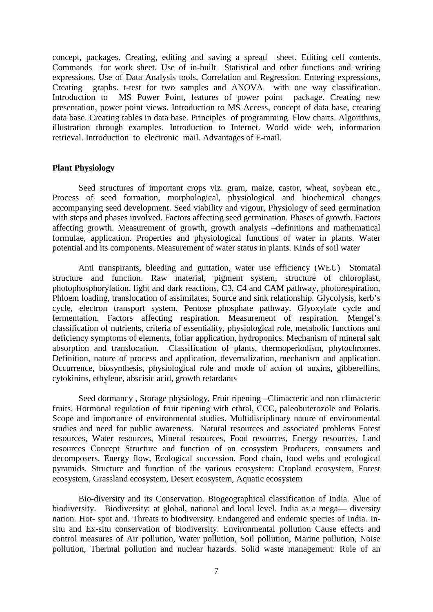concept, packages. Creating, editing and saving a spread sheet. Editing cell contents. Commands for work sheet. Use of in-built Statistical and other functions and writing expressions. Use of Data Analysis tools, Correlation and Regression. Entering expressions, Creating graphs. t-test for two samples and ANOVA with one way classification. Introduction to MS Power Point, features of power point package. Creating new presentation, power point views. Introduction to MS Access, concept of data base, creating data base. Creating tables in data base. Principles of programming. Flow charts. Algorithms, illustration through examples. Introduction to Internet. World wide web, information retrieval. Introduction to electronic mail. Advantages of E-mail.

### **Plant Physiology**

Seed structures of important crops viz. gram, maize, castor, wheat, soybean etc., Process of seed formation, morphological, physiological and biochemical changes accompanying seed development. Seed viability and vigour, Physiology of seed germination with steps and phases involved. Factors affecting seed germination. Phases of growth. Factors affecting growth. Measurement of growth, growth analysis –definitions and mathematical formulae, application. Properties and physiological functions of water in plants. Water potential and its components. Measurement of water status in plants. Kinds of soil water

Anti transpirants, bleeding and guttation, water use efficiency (WEU) Stomatal structure and function. Raw material, pigment system, structure of chloroplast, photophosphorylation, light and dark reactions, C3, C4 and CAM pathway, photorespiration, Phloem loading, translocation of assimilates, Source and sink relationship. Glycolysis, kerb's cycle, electron transport system. Pentose phosphate pathway. Glyoxylate cycle and fermentation. Factors affecting respiration. Measurement of respiration. Mengel's classification of nutrients, criteria of essentiality, physiological role, metabolic functions and deficiency symptoms of elements, foliar application, hydroponics. Mechanism of mineral salt absorption and translocation. Classification of plants, thermoperiodism, phytochromes. Definition, nature of process and application, devernalization, mechanism and application. Occurrence, biosynthesis, physiological role and mode of action of auxins, gibberellins, cytokinins, ethylene, abscisic acid, growth retardants

Seed dormancy , Storage physiology, Fruit ripening –Climacteric and non climacteric fruits. Hormonal regulation of fruit ripening with ethral, CCC, paleobuterozole and Polaris. Scope and importance of environmental studies. Multidisciplinary nature of environmental studies and need for public awareness. Natural resources and associated problems Forest resources, Water resources, Mineral resources, Food resources, Energy resources, Land resources Concept Structure and function of an ecosystem Producers, consumers and decomposers. Energy flow, Ecological succession. Food chain, food webs and ecological pyramids. Structure and function of the various ecosystem: Cropland ecosystem, Forest ecosystem, Grassland ecosystem, Desert ecosystem, Aquatic ecosystem

Bio-diversity and its Conservation. Biogeographical classification of India. Alue of biodiversity. Biodiversity: at global, national and local level. India as a mega— diversity nation. Hot- spot and. Threats to biodiversity. Endangered and endemic species of India. In situ and Ex-situ conservation of biodiversity. Environmental pollution Cause effects and control measures of Air pollution, Water pollution, Soil pollution, Marine pollution, Noise pollution, Thermal pollution and nuclear hazards. Solid waste management: Role of an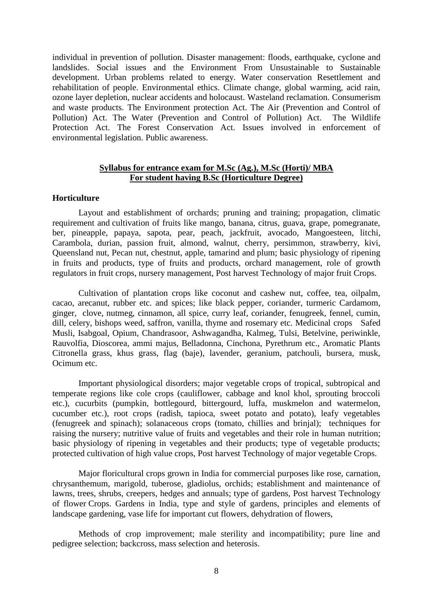individual in prevention of pollution. Disaster management: floods, earthquake, cyclone and landslides. Social issues and the Environment From Unsustainable to Sustainable development. Urban problems related to energy. Water conservation Resettlement and rehabilitation of people. Environmental ethics. Climate change, global warming, acid rain, ozone layer depletion, nuclear accidents and holocaust. Wasteland reclamation. Consumerism and waste products. The Environment protection Act. The Air (Prevention and Control of Pollution) Act. The Water (Prevention and Control of Pollution) Act. The Wildlife Protection Act. The Forest Conservation Act. Issues involved in enforcement of environmental legislation. Public awareness.

# **Syllabus for entrance exam for M.Sc (Ag.), M.Sc (Horti)/ MBA For student having B.Sc (Horticulture Degree)**

### **Horticulture**

Layout and establishment of orchards; pruning and training; propagation, climatic requirement and cultivation of fruits like mango, banana, citrus, guava, grape, pomegranate, ber, pineapple, papaya, sapota, pear, peach, jackfruit, avocado, Mangoesteen, litchi, Carambola, durian, passion fruit, almond, walnut, cherry, persimmon, strawberry, kivi, Queensland nut, Pecan nut, chestnut, apple, tamarind and plum; basic physiology of ripening in fruits and products, type of fruits and products, orchard management, role of growth regulators in fruit crops, nursery management, Post harvest Technology of major fruit Crops.

Cultivation of plantation crops like coconut and cashew nut, coffee, tea, oilpalm, cacao, arecanut, rubber etc. and spices; like black pepper, coriander, turmeric Cardamom, ginger, clove, nutmeg, cinnamon, all spice, curry leaf, coriander, fenugreek, fennel, cumin, dill, celery, bishops weed, saffron, vanilla, thyme and rosemary etc. Medicinal crops Safed Musli, Isabgoal, Opium, Chandrasoor, Ashwagandha, Kalmeg, Tulsi, Betelvine, periwinkle, Rauvolfia, Dioscorea, ammi majus, Belladonna, Cinchona, Pyrethrum etc., Aromatic Plants Citronella grass, khus grass, flag (baje), lavender, geranium, patchouli, bursera, musk, Ocimum etc.

Important physiological disorders; major vegetable crops of tropical, subtropical and temperate regions like cole crops (cauliflower, cabbage and knol khol, sprouting broccoli etc.), cucurbits (pumpkin, bottlegourd, bittergourd, luffa, muskmelon and watermelon, cucumber etc.), root crops (radish, tapioca, sweet potato and potato), leafy vegetables (fenugreek and spinach); solanaceous crops (tomato, chillies and brinjal); techniques for raising the nursery; nutritive value of fruits and vegetables and their role in human nutrition; basic physiology of ripening in vegetables and their products; type of vegetable products; protected cultivation of high value crops, Post harvest Technology of major vegetable Crops.

Major floricultural crops grown in India for commercial purposes like rose, carnation, chrysanthemum, marigold, tuberose, gladiolus, orchids; establishment and maintenance of lawns, trees, shrubs, creepers, hedges and annuals; type of gardens, Post harvest Technology of flower Crops. Gardens in India, type and style of gardens, principles and elements of landscape gardening, vase life for important cut flowers, dehydration of flowers,

Methods of crop improvement; male sterility and incompatibility; pure line and pedigree selection; backcross, mass selection and heterosis.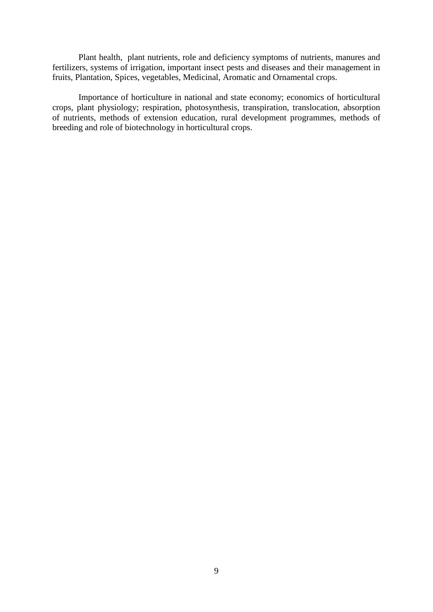Plant health, plant nutrients, role and deficiency symptoms of nutrients, manures and fertilizers, systems of irrigation, important insect pests and diseases and their management in fruits, Plantation, Spices, vegetables, Medicinal, Aromatic and Ornamental crops.

Importance of horticulture in national and state economy; economics of horticultural crops, plant physiology; respiration, photosynthesis, transpiration, translocation, absorption of nutrients, methods of extension education, rural development programmes, methods of breeding and role of biotechnology in horticultural crops.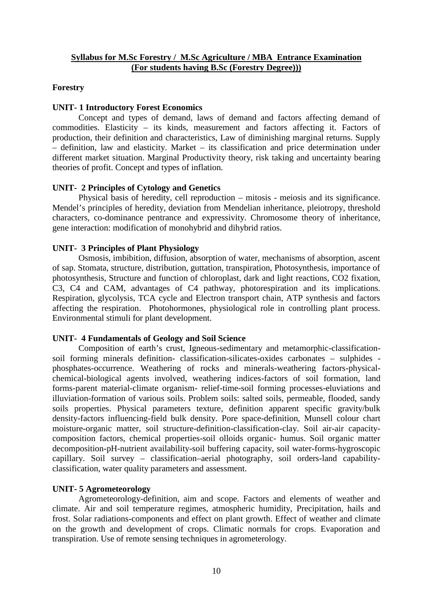## **Syllabus for M.Sc Forestry / M.Sc Agriculture / MBA Entrance Examination (For students having B.Sc (Forestry Degree)))**

### **Forestry**

### **UNIT- 1 Introductory Forest Economics**

Concept and types of demand, laws of demand and factors affecting demand of commodities. Elasticity – its kinds, measurement and factors affecting it. Factors of production, their definition and characteristics, Law of diminishing marginal returns. Supply – definition, law and elasticity. Market – its classification and price determination under different market situation. Marginal Productivity theory, risk taking and uncertainty bearing theories of profit. Concept and types of inflation.

### **UNIT- 2 Principles of Cytology and Genetics**

Physical basis of heredity, cell reproduction – mitosis - meiosis and its significance. Mendel's principles of heredity, deviation from Mendelian inheritance, pleiotropy, threshold characters, co-dominance pentrance and expressivity. Chromosome theory of inheritance, gene interaction: modification of monohybrid and dihybrid ratios.

### **UNIT- 3 Principles of Plant Physiology**

Osmosis, imbibition, diffusion, absorption of water, mechanisms of absorption, ascent of sap. Stomata, structure, distribution, guttation, transpiration, Photosynthesis, importance of photosynthesis, Structure and function of chloroplast, dark and light reactions, CO2 fixation, C3, C4 and CAM, advantages of C4 pathway, photorespiration and its implications. Respiration, glycolysis, TCA cycle and Electron transport chain, ATP synthesis and factors affecting the respiration. Photohormones, physiological role in controlling plant process. Environmental stimuli for plant development.

### **UNIT- 4 Fundamentals of Geology and Soil Science**

Composition of earth's crust, Igneous-sedimentary and metamorphic-classification soil forming minerals definition- classification-silicates-oxides carbonates – sulphides phosphates-occurrence. Weathering of rocks and minerals-weathering factors-physical chemical-biological agents involved, weathering indices-factors of soil formation, land forms-parent material-climate organism- relief-time-soil forming processes-eluviations and illuviation-formation of various soils. Problem soils: salted soils, permeable, flooded, sandy soils properties. Physical parameters texture, definition apparent specific gravity/bulk density-factors influencing-field bulk density. Pore space-definition, Munsell colour chart moisture-organic matter, soil structure-definition-classification-clay. Soil air-air capacity composition factors, chemical properties-soil olloids organic- humus. Soil organic matter decomposition-pH-nutrient availability-soil buffering capacity, soil water-forms-hygroscopic capillary. Soil survey – classification–aerial photography, soil orders-land capability classification, water quality parameters and assessment.

# **UNIT- 5 Agrometeorology**

Agrometeorology-definition, aim and scope. Factors and elements of weather and climate. Air and soil temperature regimes, atmospheric humidity, Precipitation, hails and frost. Solar radiations-components and effect on plant growth. Effect of weather and climate on the growth and development of crops. Climatic normals for crops. Evaporation and transpiration. Use of remote sensing techniques in agrometerology.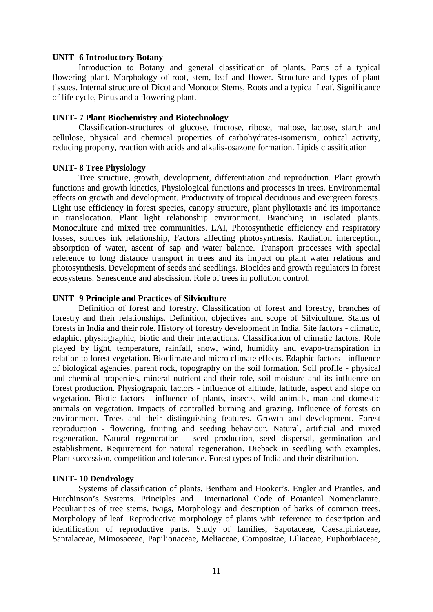### **UNIT- 6 Introductory Botany**

Introduction to Botany and general classification of plants. Parts of a typical flowering plant. Morphology of root, stem, leaf and flower. Structure and types of plant tissues. Internal structure of Dicot and Monocot Stems, Roots and a typical Leaf. Significance of life cycle, Pinus and a flowering plant.

## **UNIT- 7 Plant Biochemistry and Biotechnology**

Classification-structures of glucose, fructose, ribose, maltose, lactose, starch and cellulose, physical and chemical properties of carbohydrates-isomerism, optical activity, reducing property, reaction with acids and alkalis-osazone formation. Lipids classification

### **UNIT- 8 Tree Physiology**

Tree structure, growth, development, differentiation and reproduction. Plant growth functions and growth kinetics, Physiological functions and processes in trees. Environmental effects on growth and development. Productivity of tropical deciduous and evergreen forests. Light use efficiency in forest species, canopy structure, plant phyllotaxis and its importance in translocation. Plant light relationship environment. Branching in isolated plants. Monoculture and mixed tree communities. LAI, Photosynthetic efficiency and respiratory losses, sources ink relationship, Factors affecting photosynthesis. Radiation interception, absorption of water, ascent of sap and water balance. Transport processes with special reference to long distance transport in trees and its impact on plant water relations and photosynthesis. Development of seeds and seedlings. Biocides and growth regulators in forest ecosystems. Senescence and abscission. Role of trees in pollution control.

### **UNIT- 9 Principle and Practices of Silviculture**

Definition of forest and forestry. Classification of forest and forestry, branches of forestry and their relationships. Definition, objectives and scope of Silviculture. Status of forests in India and their role. History of forestry development in India. Site factors - climatic, edaphic, physiographic, biotic and their interactions. Classification of climatic factors. Role played by light, temperature, rainfall, snow, wind, humidity and evapo-transpiration in relation to forest vegetation. Bioclimate and micro climate effects. Edaphic factors - influence of biological agencies, parent rock, topography on the soil formation. Soil profile - physical and chemical properties, mineral nutrient and their role, soil moisture and its influence on forest production. Physiographic factors - influence of altitude, latitude, aspect and slope on vegetation. Biotic factors - influence of plants, insects, wild animals, man and domestic animals on vegetation. Impacts of controlled burning and grazing. Influence of forests on environment. Trees and their distinguishing features. Growth and development. Forest reproduction - flowering, fruiting and seeding behaviour. Natural, artificial and mixed regeneration. Natural regeneration - seed production, seed dispersal, germination and establishment. Requirement for natural regeneration. Dieback in seedling with examples. Plant succession, competition and tolerance. Forest types of India and their distribution.

# **UNIT- 10 Dendrology**

Systems of classification of plants. Bentham and Hooker's, Engler and Prantles, and Hutchinson's Systems. Principles and International Code of Botanical Nomenclature. Peculiarities of tree stems, twigs, Morphology and description of barks of common trees. Morphology of leaf. Reproductive morphology of plants with reference to description and identification of reproductive parts. Study of families, Sapotaceae, Caesalpiniaceae, Santalaceae, Mimosaceae, Papilionaceae, Meliaceae, Compositae, Liliaceae, Euphorbiaceae,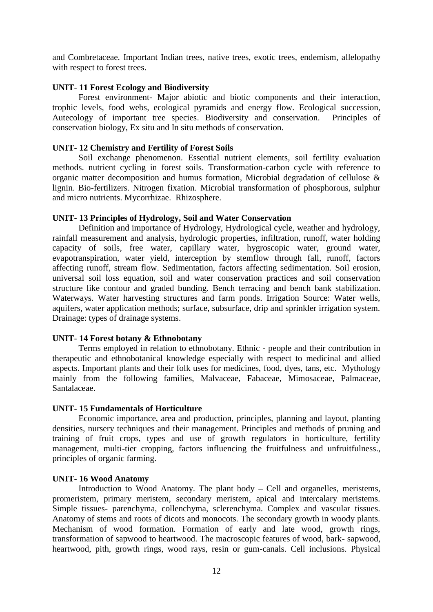and Combretaceae. Important Indian trees, native trees, exotic trees, endemism, allelopathy with respect to forest trees.

### **UNIT- 11 Forest Ecology and Biodiversity**

Forest environment- Major abiotic and biotic components and their interaction, trophic levels, food webs, ecological pyramids and energy flow. Ecological succession, Autecology of important tree species. Biodiversity and conservation. Principles of conservation biology, Ex situ and In situ methods of conservation.

### **UNIT- 12 Chemistry and Fertility of Forest Soils**

Soil exchange phenomenon. Essential nutrient elements, soil fertility evaluation methods. nutrient cycling in forest soils. Transformation-carbon cycle with reference to organic matter decomposition and humus formation, Microbial degradation of cellulose & lignin. Bio-fertilizers. Nitrogen fixation. Microbial transformation of phosphorous, sulphur and micro nutrients. Mycorrhizae. Rhizosphere.

### **UNIT- 13 Principles of Hydrology, Soil and Water Conservation**

Definition and importance of Hydrology, Hydrological cycle, weather and hydrology, rainfall measurement and analysis, hydrologic properties, infiltration, runoff, water holding capacity of soils, free water, capillary water, hygroscopic water, ground water, evapotranspiration, water yield, interception by stemflow through fall, runoff, factors affecting runoff, stream flow. Sedimentation, factors affecting sedimentation. Soil erosion, universal soil loss equation, soil and water conservation practices and soil conservation structure like contour and graded bunding. Bench terracing and bench bank stabilization. Waterways. Water harvesting structures and farm ponds. Irrigation Source: Water wells, aquifers, water application methods; surface, subsurface, drip and sprinkler irrigation system. Drainage: types of drainage systems.

### **UNIT- 14 Forest botany & Ethnobotany**

Terms employed in relation to ethnobotany. Ethnic - people and their contribution in therapeutic and ethnobotanical knowledge especially with respect to medicinal and allied aspects. Important plants and their folk uses for medicines, food, dyes, tans, etc. Mythology mainly from the following families, Malvaceae, Fabaceae, Mimosaceae, Palmaceae, Santalaceae.

### **UNIT- 15 Fundamentals of Horticulture**

Economic importance, area and production, principles, planning and layout, planting densities, nursery techniques and their management. Principles and methods of pruning and training of fruit crops, types and use of growth regulators in horticulture, fertility management, multi-tier cropping, factors influencing the fruitfulness and unfruitfulness., principles of organic farming.

### **UNIT- 16 Wood Anatomy**

Introduction to Wood Anatomy. The plant body – Cell and organelles, meristems, promeristem, primary meristem, secondary meristem, apical and intercalary meristems. Simple tissues- parenchyma, collenchyma, sclerenchyma. Complex and vascular tissues. Anatomy of stems and roots of dicots and monocots. The secondary growth in woody plants. Mechanism of wood formation. Formation of early and late wood, growth rings, transformation of sapwood to heartwood. The macroscopic features of wood, bark- sapwood, heartwood, pith, growth rings, wood rays, resin or gum-canals. Cell inclusions. Physical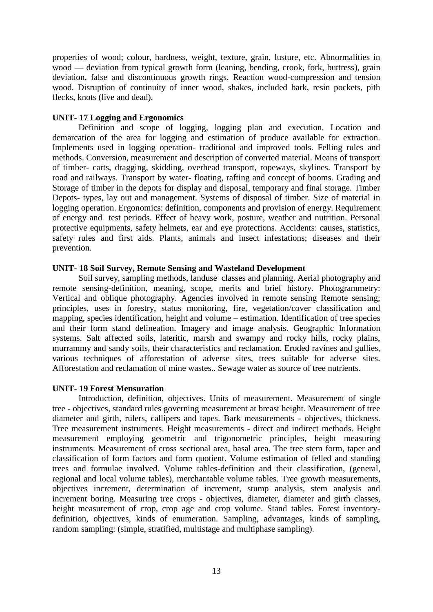properties of wood; colour, hardness, weight, texture, grain, lusture, etc. Abnormalities in wood — deviation from typical growth form (leaning, bending, crook, fork, buttress), grain deviation, false and discontinuous growth rings. Reaction wood-compression and tension wood. Disruption of continuity of inner wood, shakes, included bark, resin pockets, pith flecks, knots (live and dead).

# **UNIT- 17 Logging and Ergonomics**

Definition and scope of logging, logging plan and execution. Location and demarcation of the area for logging and estimation of produce available for extraction. Implements used in logging operation- traditional and improved tools. Felling rules and methods. Conversion, measurement and description of converted material. Means of transport of timber- carts, dragging, skidding, overhead transport, ropeways, skylines. Transport by road and railways. Transport by water- floating, rafting and concept of booms. Grading and Storage of timber in the depots for display and disposal, temporary and final storage. Timber Depots- types, lay out and management. Systems of disposal of timber. Size of material in logging operation. Ergonomics: definition, components and provision of energy. Requirement of energy and test periods. Effect of heavy work, posture, weather and nutrition. Personal protective equipments, safety helmets, ear and eye protections. Accidents: causes, statistics, safety rules and first aids. Plants, animals and insect infestations; diseases and their prevention.

# **UNIT- 18 Soil Survey, Remote Sensing and Wasteland Development**

Soil survey, sampling methods, landuse classes and planning. Aerial photography and remote sensing-definition, meaning, scope, merits and brief history. Photogrammetry: Vertical and oblique photography. Agencies involved in remote sensing Remote sensing; principles, uses in forestry, status monitoring, fire, vegetation/cover classification and mapping, species identification, height and volume – estimation. Identification of tree species and their form stand delineation. Imagery and image analysis. Geographic Information systems. Salt affected soils, lateritic, marsh and swampy and rocky hills, rocky plains, murrammy and sandy soils, their characteristics and reclamation. Eroded ravines and gullies, various techniques of afforestation of adverse sites, trees suitable for adverse sites. Afforestation and reclamation of mine wastes.. Sewage water as source of tree nutrients.

# **UNIT- 19 Forest Mensuration**

Introduction, definition, objectives. Units of measurement. Measurement of single tree - objectives, standard rules governing measurement at breast height. Measurement of tree diameter and girth, rulers, callipers and tapes. Bark measurements - objectives, thickness. Tree measurement instruments. Height measurements - direct and indirect methods. Height measurement employing geometric and trigonometric principles, height measuring instruments. Measurement of cross sectional area, basal area. The tree stem form, taper and classification of form factors and form quotient. Volume estimation of felled and standing trees and formulae involved. Volume tables-definition and their classification, (general, regional and local volume tables), merchantable volume tables. Tree growth measurements, objectives increment, determination of increment, stump analysis, stem analysis and increment boring. Measuring tree crops - objectives, diameter, diameter and girth classes, height measurement of crop, crop age and crop volume. Stand tables. Forest inventory definition, objectives, kinds of enumeration. Sampling, advantages, kinds of sampling, random sampling: (simple, stratified, multistage and multiphase sampling).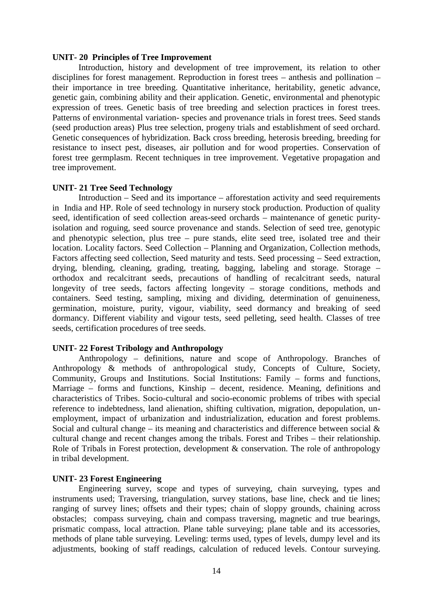#### **UNIT- 20 Principles of Tree Improvement**

Introduction, history and development of tree improvement, its relation to other disciplines for forest management. Reproduction in forest trees – anthesis and pollination – their importance in tree breeding. Quantitative inheritance, heritability, genetic advance, genetic gain, combining ability and their application. Genetic, environmental and phenotypic expression of trees. Genetic basis of tree breeding and selection practices in forest trees. Patterns of environmental variation- species and provenance trials in forest trees. Seed stands (seed production areas) Plus tree selection, progeny trials and establishment of seed orchard. Genetic consequences of hybridization. Back cross breeding, heterosis breeding, breeding for resistance to insect pest, diseases, air pollution and for wood properties. Conservation of forest tree germplasm. Recent techniques in tree improvement. Vegetative propagation and tree improvement.

#### **UNIT- 21 Tree Seed Technology**

Introduction – Seed and its importance – afforestation activity and seed requirements in India and HP. Role of seed technology in nursery stock production. Production of quality seed, identification of seed collection areas-seed orchards – maintenance of genetic purityisolation and roguing, seed source provenance and stands. Selection of seed tree, genotypic and phenotypic selection, plus tree – pure stands, elite seed tree, isolated tree and their location. Locality factors. Seed Collection – Planning and Organization, Collection methods, Factors affecting seed collection, Seed maturity and tests. Seed processing – Seed extraction, drying, blending, cleaning, grading, treating, bagging, labeling and storage. Storage – orthodox and recalcitrant seeds, precautions of handling of recalcitrant seeds, natural longevity of tree seeds, factors affecting longevity – storage conditions, methods and containers. Seed testing, sampling, mixing and dividing, determination of genuineness, germination, moisture, purity, vigour, viability, seed dormancy and breaking of seed dormancy. Different viability and vigour tests, seed pelleting, seed health. Classes of tree seeds, certification procedures of tree seeds.

### **UNIT- 22 Forest Tribology and Anthropology**

Anthropology – definitions, nature and scope of Anthropology. Branches of Anthropology & methods of anthropological study, Concepts of Culture, Society, Community, Groups and Institutions. Social Institutions: Family – forms and functions, Marriage – forms and functions, Kinship – decent, residence. Meaning, definitions and characteristics of Tribes. Socio-cultural and socio-economic problems of tribes with special reference to indebtedness, land alienation, shifting cultivation, migration, depopulation, un employment, impact of urbanization and industrialization, education and forest problems. Social and cultural change – its meaning and characteristics and difference between social  $\&$ cultural change and recent changes among the tribals. Forest and Tribes – their relationship. Role of Tribals in Forest protection, development & conservation. The role of anthropology in tribal development.

#### **UNIT- 23 Forest Engineering**

Engineering survey, scope and types of surveying, chain surveying, types and instruments used; Traversing, triangulation, survey stations, base line, check and tie lines; ranging of survey lines; offsets and their types; chain of sloppy grounds, chaining across obstacles; compass surveying, chain and compass traversing, magnetic and true bearings, prismatic compass, local attraction. Plane table surveying; plane table and its accessories, methods of plane table surveying. Leveling: terms used, types of levels, dumpy level and its adjustments, booking of staff readings, calculation of reduced levels. Contour surveying.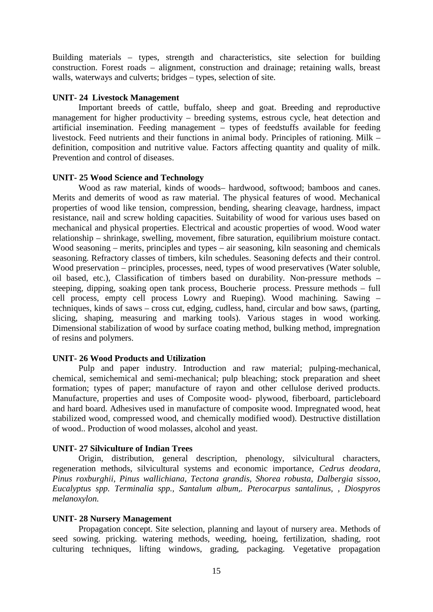Building materials – types, strength and characteristics, site selection for building construction. Forest roads – alignment, construction and drainage; retaining walls, breast walls, waterways and culverts; bridges – types, selection of site.

## **UNIT- 24 Livestock Management**

Important breeds of cattle, buffalo, sheep and goat. Breeding and reproductive management for higher productivity – breeding systems, estrous cycle, heat detection and artificial insemination. Feeding management – types of feedstuffs available for feeding livestock. Feed nutrients and their functions in animal body. Principles of rationing. Milk – definition, composition and nutritive value. Factors affecting quantity and quality of milk. Prevention and control of diseases.

### **UNIT- 25 Wood Science and Technology**

Wood as raw material, kinds of woods– hardwood, softwood; bamboos and canes. Merits and demerits of wood as raw material. The physical features of wood. Mechanical properties of wood like tension, compression, bending, shearing cleavage, hardness, impact resistance, nail and screw holding capacities. Suitability of wood for various uses based on mechanical and physical properties. Electrical and acoustic properties of wood. Wood water relationship – shrinkage, swelling, movement, fibre saturation, equilibrium moisture contact. Wood seasoning – merits, principles and types – air seasoning, kiln seasoning and chemicals seasoning. Refractory classes of timbers, kiln schedules. Seasoning defects and their control. Wood preservation – principles, processes, need, types of wood preservatives (Water soluble, oil based, etc.), Classification of timbers based on durability. Non-pressure methods – steeping, dipping, soaking open tank process, Boucherie process. Pressure methods – full cell process, empty cell process Lowry and Rueping). Wood machining. Sawing – techniques, kinds of saws – cross cut, edging, cudless, hand, circular and bow saws, (parting, slicing, shaping, measuring and marking tools). Various stages in wood working. Dimensional stabilization of wood by surface coating method, bulking method, impregnation of resins and polymers.

# **UNIT- 26 Wood Products and Utilization**

Pulp and paper industry. Introduction and raw material; pulping-mechanical, chemical, semichemical and semi-mechanical; pulp bleaching; stock preparation and sheet formation; types of paper; manufacture of rayon and other cellulose derived products. Manufacture, properties and uses of Composite wood- plywood, fiberboard, particleboard and hard board. Adhesives used in manufacture of composite wood. Impregnated wood, heat stabilized wood, compressed wood, and chemically modified wood). Destructive distillation of wood.. Production of wood molasses, alcohol and yeast.

# **UNIT- 27 Silviculture of Indian Trees**

Origin, distribution, general description, phenology, silvicultural characters, regeneration methods, silvicultural systems and economic importance, *Cedrus deodara, Pinus roxburghii, Pinus wallichiana, Tectona grandis, Shorea robusta, Dalbergia sissoo, Eucalyptus spp. Terminalia spp., Santalum album,. Pterocarpus santalinus, , Diospyros melanoxylon.*

# **UNIT- 28 Nursery Management**

Propagation concept. Site selection, planning and layout of nursery area. Methods of seed sowing. pricking. watering methods, weeding, hoeing, fertilization, shading, root culturing techniques, lifting windows, grading, packaging. Vegetative propagation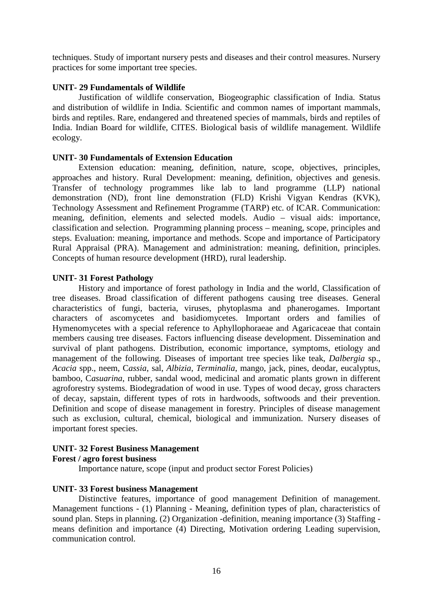techniques. Study of important nursery pests and diseases and their control measures. Nursery practices for some important tree species.

# **UNIT- 29 Fundamentals of Wildlife**

Justification of wildlife conservation, Biogeographic classification of India. Status and distribution of wildlife in India. Scientific and common names of important mammals, birds and reptiles. Rare, endangered and threatened species of mammals, birds and reptiles of India. Indian Board for wildlife, CITES. Biological basis of wildlife management. Wildlife ecology.

# **UNIT- 30 Fundamentals of Extension Education**

Extension education: meaning, definition, nature, scope, objectives, principles, approaches and history. Rural Development: meaning, definition, objectives and genesis. Transfer of technology programmes like lab to land programme (LLP) national demonstration (ND), front line demonstration (FLD) Krishi Vigyan Kendras (KVK), Technology Assessment and Refinement Programme (TARP) etc. of ICAR. Communication: meaning, definition, elements and selected models. Audio – visual aids: importance, classification and selection. Programming planning process – meaning, scope, principles and steps. Evaluation: meaning, importance and methods. Scope and importance of Participatory Rural Appraisal (PRA). Management and administration: meaning, definition, principles. Concepts of human resource development (HRD), rural leadership.

# **UNIT- 31 Forest Pathology**

History and importance of forest pathology in India and the world, Classification of tree diseases. Broad classification of different pathogens causing tree diseases. General characteristics of fungi, bacteria, viruses, phytoplasma and phanerogames. Important characters of ascomycetes and basidiomycetes. Important orders and families of Hymenomycetes with a special reference to Aphyllophoraeae and Agaricaceae that contain members causing tree diseases. Factors influencing disease development. Dissemination and survival of plant pathogens. Distribution, economic importance, symptoms, etiology and management of the following. Diseases of important tree species like teak, *Dalbergia* sp., *Acacia* spp., neem, C*assia*, sal, *Albizia*, *Terminalia*, mango, jack, pines, deodar, eucalyptus, bamboo, C*asuarina*, rubber, sandal wood, medicinal and aromatic plants grown in different agroforestry systems. Biodegradation of wood in use. Types of wood decay, gross characters of decay, sapstain, different types of rots in hardwoods, softwoods and their prevention. Definition and scope of disease management in forestry. Principles of disease management such as exclusion, cultural, chemical, biological and immunization. Nursery diseases of important forest species.

# **UNIT- 32 Forest Business Management**

# **Forest / agro forest business**

Importance nature, scope (input and product sector Forest Policies)

# **UNIT- 33 Forest business Management**

Distinctive features, importance of good management Definition of management. Management functions - (1) Planning - Meaning, definition types of plan, characteristics of sound plan. Steps in planning. (2) Organization -definition, meaning importance (3) Staffing means definition and importance (4) Directing, Motivation ordering Leading supervision, communication control.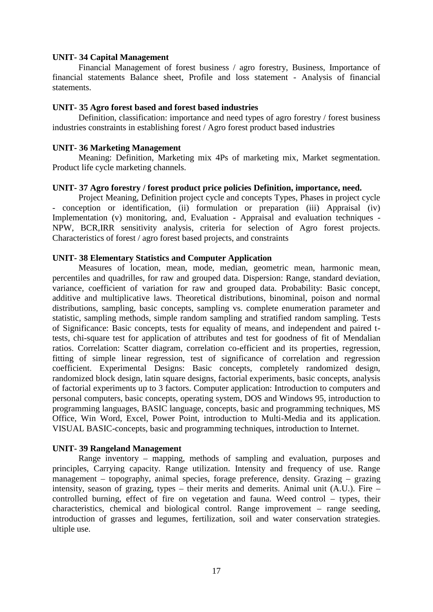### **UNIT- 34 Capital Management**

Financial Management of forest business / agro forestry, Business, Importance of financial statements Balance sheet, Profile and loss statement - Analysis of financial statements.

### **UNIT- 35 Agro forest based and forest based industries**

Definition, classification: importance and need types of agro forestry / forest business industries constraints in establishing forest / Agro forest product based industries

## **UNIT- 36 Marketing Management**

Meaning: Definition, Marketing mix 4Ps of marketing mix, Market segmentation. Product life cycle marketing channels.

### **UNIT- 37 Agro forestry / forest product price policies Definition, importance, need.**

Project Meaning, Definition project cycle and concepts Types, Phases in project cycle - conception or identification, (ii) formulation or preparation (iii) Appraisal (iv) Implementation (v) monitoring, and, Evaluation - Appraisal and evaluation techniques - NPW, BCR,IRR sensitivity analysis, criteria for selection of Agro forest projects. Characteristics of forest / agro forest based projects, and constraints

## **UNIT- 38 Elementary Statistics and Computer Application**

Measures of location, mean, mode, median, geometric mean, harmonic mean, percentiles and quadrilles, for raw and grouped data. Dispersion: Range, standard deviation, variance, coefficient of variation for raw and grouped data. Probability: Basic concept, additive and multiplicative laws. Theoretical distributions, binominal, poison and normal distributions, sampling, basic concepts, sampling vs. complete enumeration parameter and statistic, sampling methods, simple random sampling and stratified random sampling. Tests of Significance: Basic concepts, tests for equality of means, and independent and paired ttests, chi-square test for application of attributes and test for goodness of fit of Mendalian ratios. Correlation: Scatter diagram, correlation co-efficient and its properties, regression, fitting of simple linear regression, test of significance of correlation and regression coefficient. Experimental Designs: Basic concepts, completely randomized design, randomized block design, latin square designs, factorial experiments, basic concepts, analysis of factorial experiments up to 3 factors. Computer application: Introduction to computers and personal computers, basic concepts, operating system, DOS and Windows 95, introduction to programming languages, BASIC language, concepts, basic and programming techniques, MS Office, Win Word, Excel, Power Point, introduction to Multi-Media and its application. VISUAL BASIC-concepts, basic and programming techniques, introduction to Internet.

# **UNIT- 39 Rangeland Management**

Range inventory – mapping, methods of sampling and evaluation, purposes and principles, Carrying capacity. Range utilization. Intensity and frequency of use. Range management – topography, animal species, forage preference, density. Grazing – grazing intensity, season of grazing, types – their merits and demerits. Animal unit (A.U.). Fire – controlled burning, effect of fire on vegetation and fauna. Weed control – types, their characteristics, chemical and biological control. Range improvement – range seeding, introduction of grasses and legumes, fertilization, soil and water conservation strategies. ultiple use.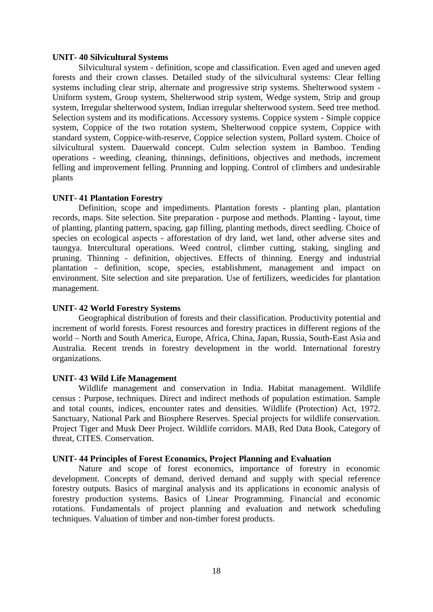#### **UNIT- 40 Silvicultural Systems**

Silvicultural system - definition, scope and classification. Even aged and uneven aged forests and their crown classes. Detailed study of the silvicultural systems: Clear felling systems including clear strip, alternate and progressive strip systems. Shelterwood system - Uniform system, Group system, Shelterwood strip system, Wedge system, Strip and group system, Irregular shelterwood system, Indian irregular shelterwood system. Seed tree method. Selection system and its modifications. Accessory systems. Coppice system - Simple coppice system, Coppice of the two rotation system, Shelterwood coppice system, Coppice with standard system, Coppice-with-reserve, Coppice selection system, Pollard system. Choice of silvicultural system. Dauerwald concept. Culm selection system in Bamboo. Tending operations - weeding, cleaning, thinnings, definitions, objectives and methods, increment felling and improvement felling. Prunning and lopping. Control of climbers and undesirable plants

### **UNIT- 41 Plantation Forestry**

Definition, scope and impediments. Plantation forests - planting plan, plantation records, maps. Site selection. Site preparation - purpose and methods. Planting - layout, time of planting, planting pattern, spacing, gap filling, planting methods, direct seedling. Choice of species on ecological aspects - afforestation of dry land, wet land, other adverse sites and taungya. Intercultural operations. Weed control, climber cutting, staking, singling and pruning. Thinning - definition, objectives. Effects of thinning. Energy and industrial plantation - definition, scope, species, establishment, management and impact on environment. Site selection and site preparation. Use of fertilizers, weedicides for plantation management.

### **UNIT- 42 World Forestry Systems**

Geographical distribution of forests and their classification. Productivity potential and increment of world forests. Forest resources and forestry practices in different regions of the world – North and South America, Europe, Africa, China, Japan, Russia, South-East Asia and Australia. Recent trends in forestry development in the world. International forestry organizations.

### **UNIT- 43 Wild Life Management**

Wildlife management and conservation in India. Habitat management. Wildlife census : Purpose, techniques. Direct and indirect methods of population estimation. Sample and total counts, indices, encounter rates and densities. Wildlife (Protection) Act, 1972. Sanctuary, National Park and Biosphere Reserves. Special projects for wildlife conservation. Project Tiger and Musk Deer Project. Wildlife corridors. MAB, Red Data Book, Category of threat, CITES. Conservation.

### **UNIT- 44 Principles of Forest Economics, Project Planning and Evaluation**

Nature and scope of forest economics, importance of forestry in economic development. Concepts of demand, derived demand and supply with special reference forestry outputs. Basics of marginal analysis and its applications in economic analysis of forestry production systems. Basics of Linear Programming. Financial and economic rotations. Fundamentals of project planning and evaluation and network scheduling techniques. Valuation of timber and non-timber forest products.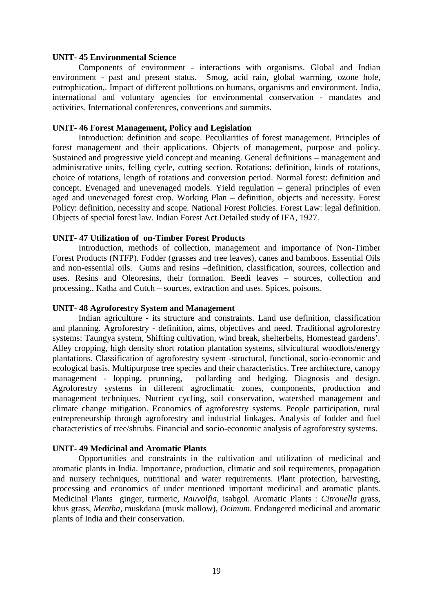#### **UNIT- 45 Environmental Science**

Components of environment - interactions with organisms. Global and Indian environment - past and present status. Smog, acid rain, global warming, ozone hole, eutrophication,. Impact of different pollutions on humans, organisms and environment. India, international and voluntary agencies for environmental conservation - mandates and activities. International conferences, conventions and summits.

#### **UNIT- 46 Forest Management, Policy and Legislation**

Introduction: definition and scope. Peculiarities of forest management. Principles of forest management and their applications. Objects of management, purpose and policy. Sustained and progressive yield concept and meaning. General definitions – management and administrative units, felling cycle, cutting section. Rotations: definition, kinds of rotations, choice of rotations, length of rotations and conversion period. Normal forest: definition and concept. Evenaged and unevenaged models. Yield regulation – general principles of even aged and unevenaged forest crop. Working Plan – definition, objects and necessity. Forest Policy: definition, necessity and scope. National Forest Policies. Forest Law: legal definition. Objects of special forest law. Indian Forest Act.Detailed study of IFA, 1927.

### **UNIT- 47 Utilization of on-Timber Forest Products**

Introduction, methods of collection, management and importance of Non-Timber Forest Products (NTFP). Fodder (grasses and tree leaves), canes and bamboos. Essential Oils and non-essential oils. Gums and resins –definition, classification, sources, collection and uses. Resins and Oleoresins, their formation. Beedi leaves – sources, collection and processing.. Katha and Cutch – sources, extraction and uses. Spices, poisons.

#### **UNIT- 48 Agroforestry System and Management**

Indian agriculture - its structure and constraints. Land use definition, classification and planning. Agroforestry - definition, aims, objectives and need. Traditional agroforestry systems: Taungya system, Shifting cultivation, wind break, shelterbelts, Homestead gardens'. Alley cropping, high density short rotation plantation systems, silvicultural woodlots/energy plantations. Classification of agroforestry system -structural, functional, socio-economic and ecological basis. Multipurpose tree species and their characteristics. Tree architecture, canopy management - lopping, prunning, pollarding and hedging. Diagnosis and design. Agroforestry systems in different agroclimatic zones, components, production and management techniques. Nutrient cycling, soil conservation, watershed management and climate change mitigation. Economics of agroforestry systems. People participation, rural entrepreneurship through agroforestry and industrial linkages. Analysis of fodder and fuel characteristics of tree/shrubs. Financial and socio-economic analysis of agroforestry systems.

### **UNIT- 49 Medicinal and Aromatic Plants**

Opportunities and constraints in the cultivation and utilization of medicinal and aromatic plants in India. Importance, production, climatic and soil requirements, propagation and nursery techniques, nutritional and water requirements. Plant protection, harvesting, processing and economics of under mentioned important medicinal and aromatic plants. Medicinal Plants ginger, turmeric, *Rauvolfia*, isabgol. Aromatic Plants : *Citronella* grass, khus grass, *Mentha*, muskdana (musk mallow), *Ocimum*. Endangered medicinal and aromatic plants of India and their conservation.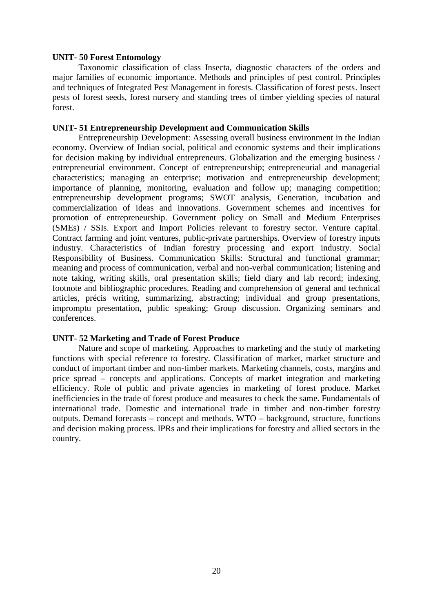### **UNIT- 50 Forest Entomology**

Taxonomic classification of class Insecta, diagnostic characters of the orders and major families of economic importance. Methods and principles of pest control. Principles and techniques of Integrated Pest Management in forests. Classification of forest pests. Insect pests of forest seeds, forest nursery and standing trees of timber yielding species of natural forest.

## **UNIT- 51 Entrepreneurship Development and Communication Skills**

Entrepreneurship Development: Assessing overall business environment in the Indian economy. Overview of Indian social, political and economic systems and their implications for decision making by individual entrepreneurs. Globalization and the emerging business / entrepreneurial environment. Concept of entrepreneurship; entrepreneurial and managerial characteristics; managing an enterprise; motivation and entrepreneurship development; importance of planning, monitoring, evaluation and follow up; managing competition; entrepreneurship development programs; SWOT analysis, Generation, incubation and commercialization of ideas and innovations. Government schemes and incentives for promotion of entrepreneurship. Government policy on Small and Medium Enterprises (SMEs) / SSIs. Export and Import Policies relevant to forestry sector. Venture capital. Contract farming and joint ventures, public-private partnerships. Overview of forestry inputs industry. Characteristics of Indian forestry processing and export industry. Social Responsibility of Business. Communication Skills: Structural and functional grammar; meaning and process of communication, verbal and non-verbal communication; listening and note taking, writing skills, oral presentation skills; field diary and lab record; indexing, footnote and bibliographic procedures. Reading and comprehension of general and technical articles, précis writing, summarizing, abstracting; individual and group presentations, impromptu presentation, public speaking; Group discussion. Organizing seminars and conferences.

# **UNIT- 52 Marketing and Trade of Forest Produce**

Nature and scope of marketing. Approaches to marketing and the study of marketing functions with special reference to forestry. Classification of market, market structure and conduct of important timber and non-timber markets. Marketing channels, costs, margins and price spread – concepts and applications. Concepts of market integration and marketing efficiency. Role of public and private agencies in marketing of forest produce. Market inefficiencies in the trade of forest produce and measures to check the same. Fundamentals of international trade. Domestic and international trade in timber and non-timber forestry outputs. Demand forecasts – concept and methods. WTO – background, structure, functions and decision making process. IPRs and their implications for forestry and allied sectors in the country.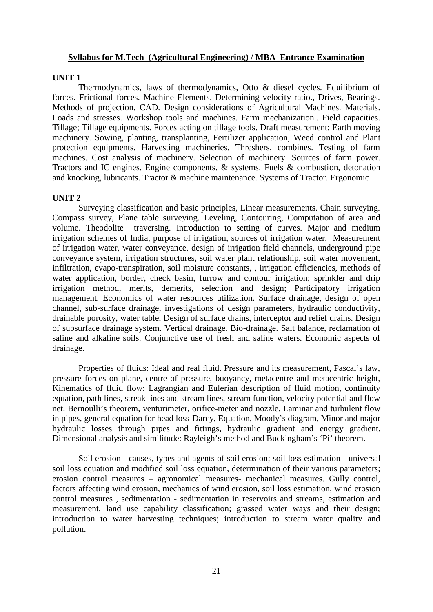### **Syllabus for M.Tech (Agricultural Engineering) / MBA Entrance Examination**

### **UNIT 1**

Thermodynamics, laws of thermodynamics, Otto & diesel cycles. Equilibrium of forces. Frictional forces. Machine Elements. Determining velocity ratio., Drives, Bearings. Methods of projection. CAD. Design considerations of Agricultural Machines. Materials. Loads and stresses. Workshop tools and machines. Farm mechanization.. Field capacities. Tillage; Tillage equipments. Forces acting on tillage tools. Draft measurement: Earth moving machinery. Sowing, planting, transplanting, Fertilizer application, Weed control and Plant protection equipments. Harvesting machineries. Threshers, combines. Testing of farm machines. Cost analysis of machinery. Selection of machinery. Sources of farm power. Tractors and IC engines. Engine components. & systems. Fuels & combustion, detonation and knocking, lubricants. Tractor & machine maintenance. Systems of Tractor. Ergonomic

# **UNIT 2**

Surveying classification and basic principles, Linear measurements. Chain surveying. Compass survey, Plane table surveying. Leveling, Contouring, Computation of area and volume. Theodolite traversing. Introduction to setting of curves. Major and medium irrigation schemes of India, purpose of irrigation, sources of irrigation water, Measurement of irrigation water, water conveyance, design of irrigation field channels, underground pipe conveyance system, irrigation structures, soil water plant relationship, soil water movement, infiltration, evapo-transpiration, soil moisture constants, , irrigation efficiencies, methods of water application, border, check basin, furrow and contour irrigation; sprinkler and drip irrigation method, merits, demerits, selection and design; Participatory irrigation management. Economics of water resources utilization. Surface drainage, design of open channel, sub-surface drainage, investigations of design parameters, hydraulic conductivity, drainable porosity, water table, Design of surface drains, interceptor and relief drains. Design of subsurface drainage system. Vertical drainage. Bio-drainage. Salt balance, reclamation of saline and alkaline soils. Conjunctive use of fresh and saline waters. Economic aspects of drainage.

Properties of fluids: Ideal and real fluid. Pressure and its measurement, Pascal's law, pressure forces on plane, centre of pressure, buoyancy, metacentre and metacentric height, Kinematics of fluid flow: Lagrangian and Eulerian description of fluid motion, continuity equation, path lines, streak lines and stream lines, stream function, velocity potential and flow net. Bernoulli's theorem, venturimeter, orifice-meter and nozzle. Laminar and turbulent flow in pipes, general equation for head loss-Darcy, Equation, Moody's diagram, Minor and major hydraulic losses through pipes and fittings, hydraulic gradient and energy gradient. Dimensional analysis and similitude: Rayleigh's method and Buckingham's `Pi' theorem.

Soil erosion - causes, types and agents of soil erosion; soil loss estimation - universal soil loss equation and modified soil loss equation, determination of their various parameters; erosion control measures – agronomical measures- mechanical measures. Gully control, factors affecting wind erosion, mechanics of wind erosion, soil loss estimation, wind erosion control measures , sedimentation - sedimentation in reservoirs and streams, estimation and measurement, land use capability classification; grassed water ways and their design; introduction to water harvesting techniques; introduction to stream water quality and pollution.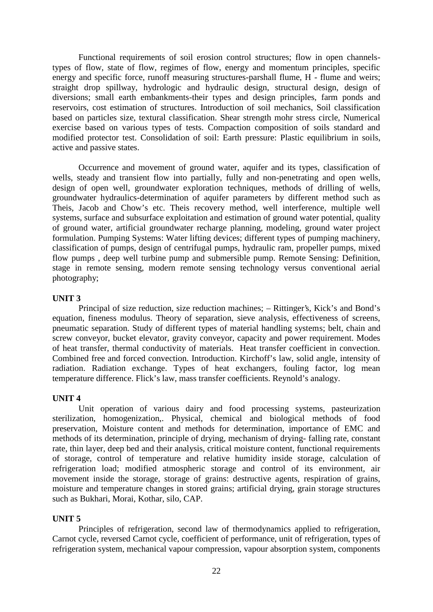Functional requirements of soil erosion control structures; flow in open channelstypes of flow, state of flow, regimes of flow, energy and momentum principles, specific energy and specific force, runoff measuring structures-parshall flume, H - flume and weirs; straight drop spillway, hydrologic and hydraulic design, structural design, design of diversions; small earth embankments-their types and design principles, farm ponds and reservoirs, cost estimation of structures. Introduction of soil mechanics, Soil classification based on particles size, textural classification. Shear strength mohr stress circle, Numerical exercise based on various types of tests. Compaction composition of soils standard and modified protector test. Consolidation of soil: Earth pressure: Plastic equilibrium in soils, active and passive states.

Occurrence and movement of ground water, aquifer and its types, classification of wells, steady and transient flow into partially, fully and non-penetrating and open wells, design of open well, groundwater exploration techniques, methods of drilling of wells, groundwater hydraulics-determination of aquifer parameters by different method such as Theis, Jacob and Chow's etc. Theis recovery method, well interference, multiple well systems, surface and subsurface exploitation and estimation of ground water potential, quality of ground water, artificial groundwater recharge planning, modeling, ground water project formulation. Pumping Systems: Water lifting devices; different types of pumping machinery, classification of pumps, design of centrifugal pumps, hydraulic ram, propeller pumps, mixed flow pumps , deep well turbine pump and submersible pump. Remote Sensing: Definition, stage in remote sensing, modern remote sensing technology versus conventional aerial photography;

### **UNIT 3**

Principal of size reduction, size reduction machines; – Rittinger's, Kick's and Bond's equation, fineness modulus. Theory of separation, sieve analysis, effectiveness of screens, pneumatic separation. Study of different types of material handling systems; belt, chain and screw conveyor, bucket elevator, gravity conveyor, capacity and power requirement. Modes of heat transfer, thermal conductivity of materials. Heat transfer coefficient in convection. Combined free and forced convection. Introduction. Kirchoff's law, solid angle, intensity of radiation. Radiation exchange. Types of heat exchangers, fouling factor, log mean temperature difference. Flick's law, mass transfer coefficients. Reynold's analogy.

### **UNIT 4**

Unit operation of various dairy and food processing systems, pasteurization sterilization, homogenization,. Physical, chemical and biological methods of food preservation, Moisture content and methods for determination, importance of EMC and methods of its determination, principle of drying, mechanism of drying- falling rate, constant rate, thin layer, deep bed and their analysis, critical moisture content, functional requirements of storage, control of temperature and relative humidity inside storage, calculation of refrigeration load; modified atmospheric storage and control of its environment, air movement inside the storage, storage of grains: destructive agents, respiration of grains, moisture and temperature changes in stored grains; artificial drying, grain storage structures such as Bukhari, Morai, Kothar, silo, CAP.

### **UNIT 5**

Principles of refrigeration, second law of thermodynamics applied to refrigeration, Carnot cycle, reversed Carnot cycle, coefficient of performance, unit of refrigeration, types of refrigeration system, mechanical vapour compression, vapour absorption system, components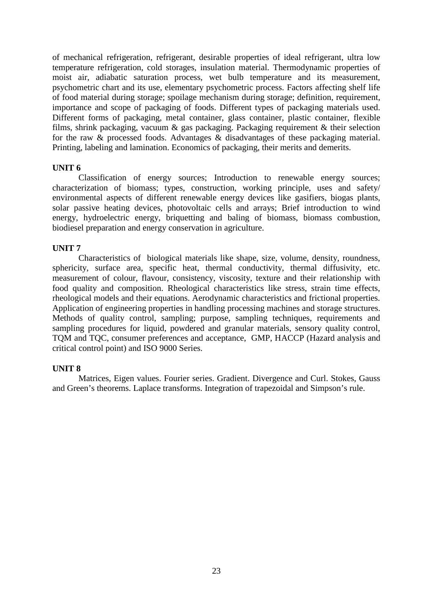of mechanical refrigeration, refrigerant, desirable properties of ideal refrigerant, ultra low temperature refrigeration, cold storages, insulation material. Thermodynamic properties of moist air, adiabatic saturation process, wet bulb temperature and its measurement, psychometric chart and its use, elementary psychometric process. Factors affecting shelf life of food material during storage; spoilage mechanism during storage; definition, requirement, importance and scope of packaging of foods. Different types of packaging materials used. Different forms of packaging, metal container, glass container, plastic container, flexible films, shrink packaging, vacuum & gas packaging. Packaging requirement & their selection for the raw & processed foods. Advantages & disadvantages of these packaging material. Printing, labeling and lamination. Economics of packaging, their merits and demerits.

### **UNIT 6**

Classification of energy sources; Introduction to renewable energy sources; characterization of biomass; types, construction, working principle, uses and safety/ environmental aspects of different renewable energy devices like gasifiers, biogas plants, solar passive heating devices, photovoltaic cells and arrays; Brief introduction to wind energy, hydroelectric energy, briquetting and baling of biomass, biomass combustion, biodiesel preparation and energy conservation in agriculture.

### **UNIT 7**

Characteristics of biological materials like shape, size, volume, density, roundness, sphericity, surface area, specific heat, thermal conductivity, thermal diffusivity, etc. measurement of colour, flavour, consistency, viscosity, texture and their relationship with food quality and composition. Rheological characteristics like stress, strain time effects, rheological models and their equations. Aerodynamic characteristics and frictional properties. Application of engineering properties in handling processing machines and storage structures. Methods of quality control, sampling; purpose, sampling techniques, requirements and sampling procedures for liquid, powdered and granular materials, sensory quality control, TQM and TQC, consumer preferences and acceptance, GMP, HACCP (Hazard analysis and critical control point) and ISO 9000 Series.

# **UNIT 8**

Matrices, Eigen values. Fourier series. Gradient. Divergence and Curl. Stokes, Gauss and Green's theorems. Laplace transforms. Integration of trapezoidal and Simpson's rule.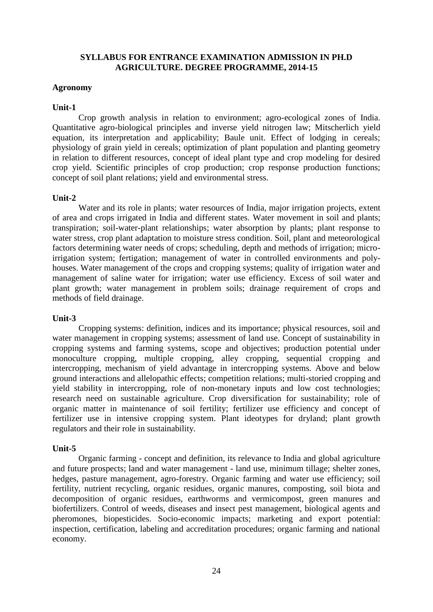## **SYLLABUS FOR ENTRANCE EXAMINATION ADMISSION IN PH.D AGRICULTURE. DEGREE PROGRAMME, 2014-15**

### **Agronomy**

### **Unit-1**

Crop growth analysis in relation to environment; agro-ecological zones of India. Quantitative agro-biological principles and inverse yield nitrogen law; Mitscherlich yield equation, its interpretation and applicability; Baule unit. Effect of lodging in cereals; physiology of grain yield in cereals; optimization of plant population and planting geometry in relation to different resources, concept of ideal plant type and crop modeling for desired crop yield. Scientific principles of crop production; crop response production functions; concept of soil plant relations; yield and environmental stress.

### **Unit-2**

Water and its role in plants; water resources of India, major irrigation projects, extent of area and crops irrigated in India and different states. Water movement in soil and plants; transpiration; soil-water-plant relationships; water absorption by plants; plant response to water stress, crop plant adaptation to moisture stress condition. Soil, plant and meteorological factors determining water needs of crops; scheduling, depth and methods of irrigation; microirrigation system; fertigation; management of water in controlled environments and poly houses. Water management of the crops and cropping systems; quality of irrigation water and management of saline water for irrigation; water use efficiency. Excess of soil water and plant growth; water management in problem soils; drainage requirement of crops and methods of field drainage.

# **Unit-3**

Cropping systems: definition, indices and its importance; physical resources, soil and water management in cropping systems; assessment of land use. Concept of sustainability in cropping systems and farming systems, scope and objectives; production potential under monoculture cropping, multiple cropping, alley cropping, sequential cropping and intercropping, mechanism of yield advantage in intercropping systems. Above and below ground interactions and allelopathic effects; competition relations; multi-storied cropping and yield stability in intercropping, role of non-monetary inputs and low cost technologies; research need on sustainable agriculture. Crop diversification for sustainability; role of organic matter in maintenance of soil fertility; fertilizer use efficiency and concept of fertilizer use in intensive cropping system. Plant ideotypes for dryland; plant growth regulators and their role in sustainability.

# **Unit-5**

Organic farming - concept and definition, its relevance to India and global agriculture and future prospects; land and water management - land use, minimum tillage; shelter zones, hedges, pasture management, agro-forestry. Organic farming and water use efficiency; soil fertility, nutrient recycling, organic residues, organic manures, composting, soil biota and decomposition of organic residues, earthworms and vermicompost, green manures and biofertilizers. Control of weeds, diseases and insect pest management, biological agents and pheromones, biopesticides. Socio-economic impacts; marketing and export potential: inspection, certification, labeling and accreditation procedures; organic farming and national economy.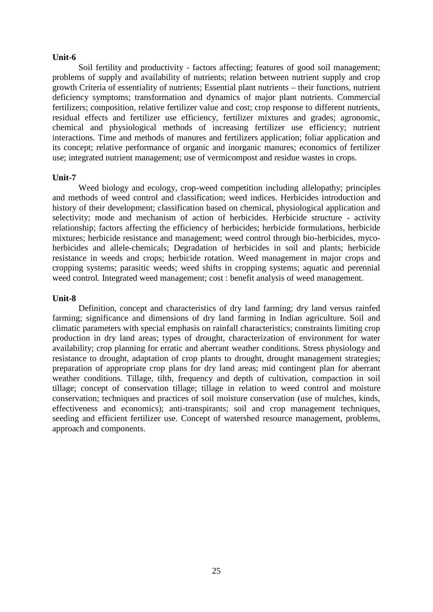#### **Unit-6**

Soil fertility and productivity - factors affecting; features of good soil management; problems of supply and availability of nutrients; relation between nutrient supply and crop growth Criteria of essentiality of nutrients; Essential plant nutrients – their functions, nutrient deficiency symptoms; transformation and dynamics of major plant nutrients. Commercial fertilizers; composition, relative fertilizer value and cost; crop response to different nutrients, residual effects and fertilizer use efficiency, fertilizer mixtures and grades; agronomic, chemical and physiological methods of increasing fertilizer use efficiency; nutrient interactions. Time and methods of manures and fertilizers application; foliar application and its concept; relative performance of organic and inorganic manures; economics of fertilizer use; integrated nutrient management; use of vermicompost and residue wastes in crops.

#### **Unit-7**

Weed biology and ecology, crop-weed competition including allelopathy; principles and methods of weed control and classification; weed indices. Herbicides introduction and history of their development; classification based on chemical, physiological application and selectivity; mode and mechanism of action of herbicides. Herbicide structure - activity relationship; factors affecting the efficiency of herbicides; herbicide formulations, herbicide mixtures; herbicide resistance and management; weed control through bio-herbicides, myco herbicides and allele-chemicals; Degradation of herbicides in soil and plants; herbicide resistance in weeds and crops; herbicide rotation. Weed management in major crops and cropping systems; parasitic weeds; weed shifts in cropping systems; aquatic and perennial weed control. Integrated weed management; cost : benefit analysis of weed management.

### **Unit-8**

Definition, concept and characteristics of dry land farming; dry land versus rainfed farming; significance and dimensions of dry land farming in Indian agriculture. Soil and climatic parameters with special emphasis on rainfall characteristics; constraints limiting crop production in dry land areas; types of drought, characterization of environment for water availability; crop planning for erratic and aberrant weather conditions. Stress physiology and resistance to drought, adaptation of crop plants to drought, drought management strategies; preparation of appropriate crop plans for dry land areas; mid contingent plan for aberrant weather conditions. Tillage, tilth, frequency and depth of cultivation, compaction in soil tillage; concept of conservation tillage; tillage in relation to weed control and moisture conservation; techniques and practices of soil moisture conservation (use of mulches, kinds, effectiveness and economics); anti-transpirants; soil and crop management techniques, seeding and efficient fertilizer use. Concept of watershed resource management, problems, approach and components.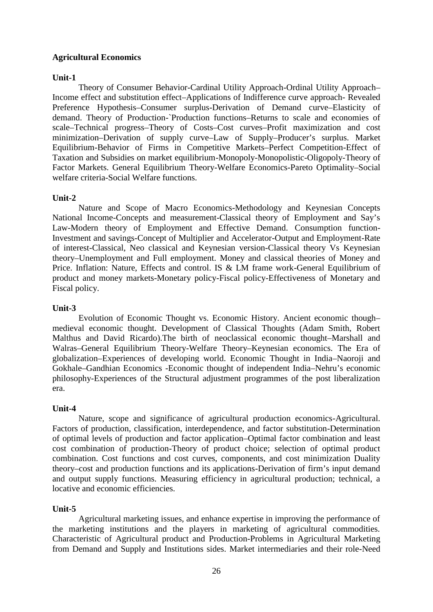# **Agricultural Economics**

### **Unit-1**

Theory of Consumer Behavior-Cardinal Utility Approach-Ordinal Utility Approach– Income effect and substitution effect–Applications of Indifference curve approach- Revealed Preference Hypothesis–Consumer surplus-Derivation of Demand curve–Elasticity of demand. Theory of Production-`Production functions–Returns to scale and economies of scale–Technical progress–Theory of Costs–Cost curves–Profit maximization and cost minimization–Derivation of supply curve–Law of Supply–Producer's surplus. Market Equilibrium-Behavior of Firms in Competitive Markets–Perfect Competition-Effect of Taxation and Subsidies on market equilibrium-Monopoly-Monopolistic-Oligopoly-Theory of Factor Markets. General Equilibrium Theory-Welfare Economics-Pareto Optimality–Social welfare criteria-Social Welfare functions.

# **Unit-2**

Nature and Scope of Macro Economics-Methodology and Keynesian Concepts National Income-Concepts and measurement-Classical theory of Employment and Say's Law-Modern theory of Employment and Effective Demand. Consumption function-Investment and savings-Concept of Multiplier and Accelerator-Output and Employment-Rate of interest-Classical, Neo classical and Keynesian version-Classical theory Vs Keynesian theory–Unemployment and Full employment. Money and classical theories of Money and Price. Inflation: Nature, Effects and control. IS & LM frame work-General Equilibrium of product and money markets-Monetary policy-Fiscal policy-Effectiveness of Monetary and Fiscal policy.

### **Unit-3**

Evolution of Economic Thought vs. Economic History. Ancient economic though– medieval economic thought. Development of Classical Thoughts (Adam Smith, Robert Malthus and David Ricardo).The birth of neoclassical economic thought–Marshall and Walras–General Equilibrium Theory-Welfare Theory–Keynesian economics. The Era of globalization–Experiences of developing world. Economic Thought in India–Naoroji and Gokhale–Gandhian Economics -Economic thought of independent India–Nehru's economic philosophy-Experiences of the Structural adjustment programmes of the post liberalization era.

# **Unit-4**

Nature, scope and significance of agricultural production economics-Agricultural. Factors of production, classification, interdependence, and factor substitution-Determination of optimal levels of production and factor application–Optimal factor combination and least cost combination of production-Theory of product choice; selection of optimal product combination. Cost functions and cost curves, components, and cost minimization Duality theory–cost and production functions and its applications-Derivation of firm's input demand and output supply functions. Measuring efficiency in agricultural production; technical, a locative and economic efficiencies.

# **Unit-5**

Agricultural marketing issues, and enhance expertise in improving the performance of the marketing institutions and the players in marketing of agricultural commodities. Characteristic of Agricultural product and Production-Problems in Agricultural Marketing from Demand and Supply and Institutions sides. Market intermediaries and their role-Need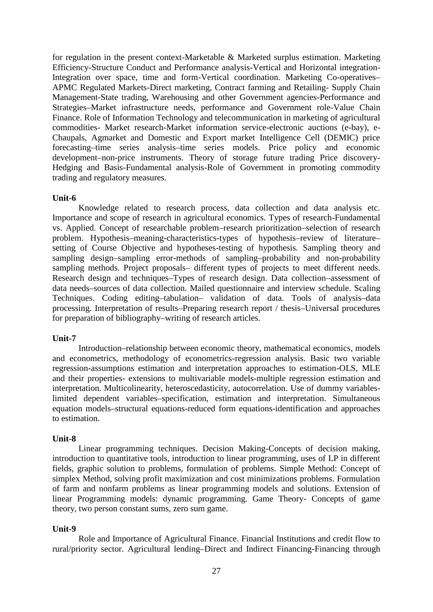for regulation in the present context-Marketable & Marketed surplus estimation. Marketing Efficiency-Structure Conduct and Performance analysis-Vertical and Horizontal integration-Integration over space, time and form-Vertical coordination. Marketing Co-operatives– APMC Regulated Markets-Direct marketing, Contract farming and Retailing- Supply Chain Management-State trading, Warehousing and other Government agencies-Performance and Strategies–Market infrastructure needs, performance and Government role-Value Chain Finance. Role of Information Technology and telecommunication in marketing of agricultural commodities- Market research-Market information service-electronic auctions (e-bay), e- Chaupals, Agmarket and Domestic and Export market Intelligence Cell (DEMIC) price forecasting–time series analysis–time series models. Price policy and economic development–non-price instruments. Theory of storage future trading Price discovery- Hedging and Basis-Fundamental analysis-Role of Government in promoting commodity trading and regulatory measures.

### **Unit-6**

Knowledge related to research process, data collection and data analysis etc. Importance and scope of research in agricultural economics. Types of research-Fundamental vs. Applied. Concept of researchable problem–research prioritization–selection of research problem. Hypothesis–meaning-characteristics-types of hypothesis–review of literature– setting of Course Objective and hypotheses-testing of hypothesis. Sampling theory and sampling design–sampling error-methods of sampling–probability and non-probability sampling methods. Project proposals– different types of projects to meet different needs. Research design and techniques–Types of research design. Data collection–assessment of data needs–sources of data collection. Mailed questionnaire and interview schedule. Scaling Techniques. Coding editing–tabulation– validation of data. Tools of analysis–data processing. Interpretation of results–Preparing research report / thesis–Universal procedures for preparation of bibliography–writing of research articles.

# **Unit-7**

Introduction–relationship between economic theory, mathematical economics, models and econometrics, methodology of econometrics-regression analysis. Basic two variable regression-assumptions estimation and interpretation approaches to estimation-OLS, MLE and their properties- extensions to multivariable models-multiple regression estimation and interpretation. Multicolinearity, heteroscedasticity, autocorrelation. Use of dummy variableslimited dependent variables–specification, estimation and interpretation. Simultaneous equation models–structural equations-reduced form equations-identification and approaches to estimation.

# **Unit-8**

Linear programming techniques. Decision Making-Concepts of decision making, introduction to quantitative tools, introduction to linear programming, uses of LP in different fields, graphic solution to problems, formulation of problems. Simple Method: Concept of simplex Method, solving profit maximization and cost minimizations problems. Formulation of farm and nonfarm problems as linear programming models and solutions. Extension of linear Programming models: dynamic programming. Game Theory- Concepts of game theory, two person constant sums, zero sum game.

# **Unit-9**

Role and Importance of Agricultural Finance. Financial Institutions and credit flow to rural/priority sector. Agricultural lending–Direct and Indirect Financing-Financing through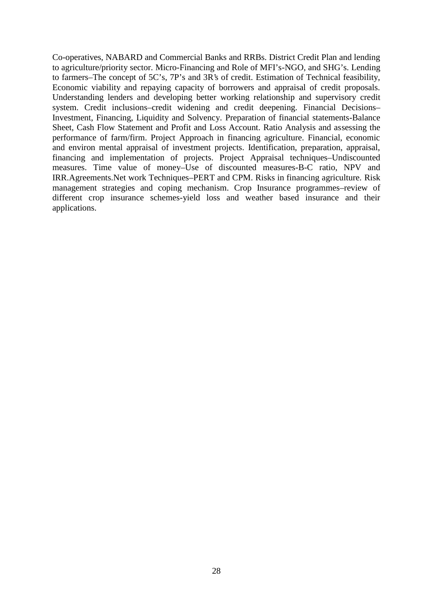Co-operatives, NABARD and Commercial Banks and RRBs. District Credit Plan and lending to agriculture/priority sector. Micro-Financing and Role of MFI's-NGO, and SHG's. Lending to farmers–The concept of 5C's, 7P's and 3R's of credit. Estimation of Technical feasibility, Economic viability and repaying capacity of borrowers and appraisal of credit proposals. Understanding lenders and developing better working relationship and supervisory credit system. Credit inclusions–credit widening and credit deepening. Financial Decisions– Investment, Financing, Liquidity and Solvency. Preparation of financial statements-Balance Sheet, Cash Flow Statement and Profit and Loss Account. Ratio Analysis and assessing the performance of farm/firm. Project Approach in financing agriculture. Financial, economic and environ mental appraisal of investment projects. Identification, preparation, appraisal, financing and implementation of projects. Project Appraisal techniques–Undiscounted measures. Time value of money–Use of discounted measures-B-C ratio, NPV and IRR.Agreements.Net work Techniques–PERT and CPM. Risks in financing agriculture. Risk management strategies and coping mechanism. Crop Insurance programmes–review of different crop insurance schemes-yield loss and weather based insurance and their applications.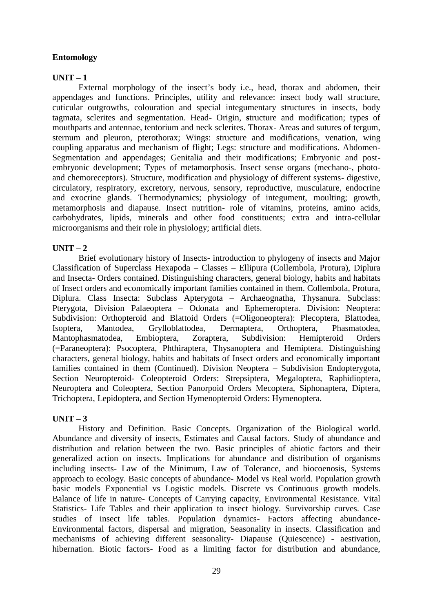# **Entomology**

# **UNIT – 1**

External morphology of the insect's body i.e., head, thorax and abdomen, their appendages and functions. Principles, utility and relevance: insect body wall structure, cuticular outgrowths, colouration and special integumentary structures in insects, body tagmata, sclerites and segmentation. Head- Origin, **s**tructure and modification; types of mouthparts and antennae, tentorium and neck sclerites. Thorax- Areas and sutures of tergum, sternum and pleuron, pterothorax; Wings: structure and modifications, venation, wing coupling apparatus and mechanism of flight; Legs: structure and modifications. Abdomen- Segmentation and appendages; Genitalia and their modifications; Embryonic and post embryonic development; Types of metamorphosis. Insect sense organs (mechano-, photo and chemoreceptors). Structure, modification and physiology of different systems- digestive, circulatory, respiratory, excretory, nervous, sensory, reproductive, musculature, endocrine and exocrine glands. Thermodynamics; physiology of integument, moulting; growth, metamorphosis and diapause. Insect nutrition- role of vitamins, proteins, amino acids, carbohydrates, lipids, minerals and other food constituents; extra and intra-cellular microorganisms and their role in physiology; artificial diets.

# **UNIT – 2**

Brief evolutionary history of Insects- introduction to phylogeny of insects and Major Classification of Superclass Hexapoda – Classes – Ellipura (Collembola, Protura), Diplura and Insecta- Orders contained. Distinguishing characters, general biology, habits and habitats of Insect orders and economically important families contained in them. Collembola, Protura, Diplura. Class Insecta: Subclass Apterygota – Archaeognatha, Thysanura. Subclass: Pterygota, Division Palaeoptera – Odonata and Ephemeroptera. Division: Neoptera: Subdivision: Orthopteroid and Blattoid Orders (=Oligoneoptera): Plecoptera, Blattodea, Isoptera, Mantodea, Grylloblattodea, Dermaptera, Orthoptera, Phasmatodea, Mantophasmatodea, Embioptera, Zoraptera, Subdivision: Hemipteroid Orders (=Paraneoptera): Psocoptera, Phthiraptera, Thysanoptera and Hemiptera. Distinguishing characters, general biology, habits and habitats of Insect orders and economically important families contained in them (Continued). Division Neoptera – Subdivision Endopterygota, Section Neuropteroid- Coleopteroid Orders: Strepsiptera, Megaloptera, Raphidioptera, Neuroptera and Coleoptera, Section Panorpoid Orders Mecoptera, Siphonaptera, Diptera, Trichoptera, Lepidoptera, and Section Hymenopteroid Orders: Hymenoptera.

# $UNIT - 3$

History and Definition. Basic Concepts. Organization of the Biological world. Abundance and diversity of insects, Estimates and Causal factors. Study of abundance and distribution and relation between the two. Basic principles of abiotic factors and their generalized action on insects. Implications for abundance and distribution of organisms including insects- Law of the Minimum, Law of Tolerance, and biocoenosis, Systems approach to ecology. Basic concepts of abundance- Model vs Real world. Population growth basic models Exponential vs Logistic models. Discrete vs Continuous growth models. Balance of life in nature- Concepts of Carrying capacity, Environmental Resistance. Vital Statistics- Life Tables and their application to insect biology. Survivorship curves. Case studies of insect life tables. Population dynamics- Factors affecting abundance- Environmental factors, dispersal and migration, Seasonality in insects. Classification and mechanisms of achieving different seasonality- Diapause (Quiescence) - aestivation, hibernation. Biotic factors- Food as a limiting factor for distribution and abundance,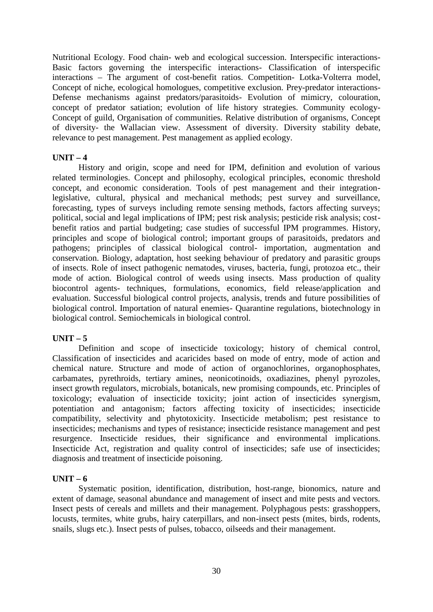Nutritional Ecology. Food chain- web and ecological succession. Interspecific interactions- Basic factors governing the interspecific interactions- Classification of interspecific interactions – The argument of cost-benefit ratios. Competition- Lotka-Volterra model, Concept of niche, ecological homologues, competitive exclusion. Prey-predator interactions- Defense mechanisms against predators/parasitoids- Evolution of mimicry, colouration, concept of predator satiation; evolution of life history strategies. Community ecology- Concept of guild, Organisation of communities. Relative distribution of organisms, Concept of diversity- the Wallacian view. Assessment of diversity. Diversity stability debate, relevance to pest management. Pest management as applied ecology.

# $\textbf{UNIT} - 4$

History and origin, scope and need for IPM, definition and evolution of various related terminologies. Concept and philosophy, ecological principles, economic threshold concept, and economic consideration. Tools of pest management and their integrationlegislative, cultural, physical and mechanical methods; pest survey and surveillance, forecasting, types of surveys including remote sensing methods, factors affecting surveys; political, social and legal implications of IPM; pest risk analysis; pesticide risk analysis; cost benefit ratios and partial budgeting; case studies of successful IPM programmes. History, principles and scope of biological control; important groups of parasitoids, predators and pathogens; principles of classical biological control- importation, augmentation and conservation. Biology, adaptation, host seeking behaviour of predatory and parasitic groups of insects. Role of insect pathogenic nematodes, viruses, bacteria, fungi, protozoa etc., their mode of action. Biological control of weeds using insects. Mass production of quality biocontrol agents- techniques, formulations, economics, field release/application and evaluation. Successful biological control projects, analysis, trends and future possibilities of biological control. Importation of natural enemies- Quarantine regulations, biotechnology in biological control. Semiochemicals in biological control.

# **UNIT – 5**

Definition and scope of insecticide toxicology; history of chemical control, Classification of insecticides and acaricides based on mode of entry, mode of action and chemical nature. Structure and mode of action of organochlorines, organophosphates, carbamates, pyrethroids, tertiary amines, neonicotinoids, oxadiazines, phenyl pyrozoles, insect growth regulators, microbials, botanicals, new promising compounds, etc. Principles of toxicology; evaluation of insecticide toxicity; joint action of insecticides synergism, potentiation and antagonism; factors affecting toxicity of insecticides; insecticide compatibility, selectivity and phytotoxicity. Insecticide metabolism; pest resistance to insecticides; mechanisms and types of resistance; insecticide resistance management and pest resurgence. Insecticide residues, their significance and environmental implications. Insecticide Act, registration and quality control of insecticides; safe use of insecticides; diagnosis and treatment of insecticide poisoning.

# **UNIT**  $-6$

Systematic position, identification, distribution, host-range, bionomics, nature and extent of damage, seasonal abundance and management of insect and mite pests and vectors. Insect pests of cereals and millets and their management. Polyphagous pests: grasshoppers, locusts, termites, white grubs, hairy caterpillars, and non-insect pests (mites, birds, rodents, snails, slugs etc.). Insect pests of pulses, tobacco, oilseeds and their management.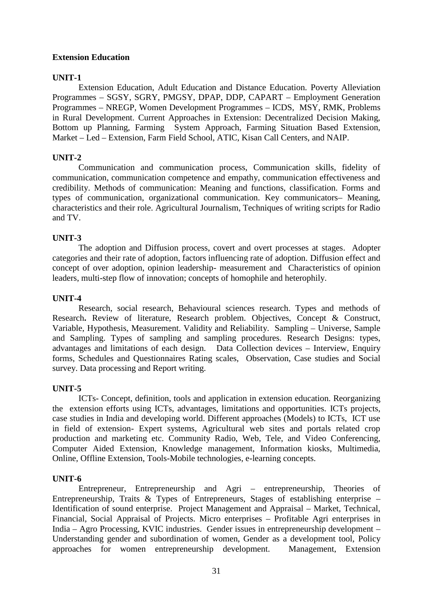# **Extension Education**

# **UNIT-1**

Extension Education, Adult Education and Distance Education. Poverty Alleviation Programmes – SGSY, SGRY, PMGSY, DPAP, DDP, CAPART – Employment Generation Programmes – NREGP, Women Development Programmes – ICDS, MSY, RMK, Problems in Rural Development. Current Approaches in Extension: Decentralized Decision Making, Bottom up Planning, Farming System Approach, Farming Situation Based Extension, Market – Led – Extension, Farm Field School, ATIC, Kisan Call Centers, and NAIP.

# **UNIT-2**

Communication and communication process, Communication skills, fidelity of communication, communication competence and empathy, communication effectiveness and credibility. Methods of communication: Meaning and functions, classification. Forms and types of communication, organizational communication. Key communicators– Meaning, characteristics and their role. Agricultural Journalism, Techniques of writing scripts for Radio and TV.

# **UNIT-3**

The adoption and Diffusion process, covert and overt processes at stages. Adopter categories and their rate of adoption, factors influencing rate of adoption. Diffusion effect and concept of over adoption, opinion leadership- measurement and Characteristics of opinion leaders, multi-step flow of innovation; concepts of homophile and heterophily.

# **UNIT-4**

Research, social research, Behavioural sciences research. Types and methods of Research. Review of literature, Research problem. Objectives, Concept & Construct. Variable, Hypothesis, Measurement. Validity and Reliability. Sampling – Universe, Sample and Sampling. Types of sampling and sampling procedures. Research Designs: types, advantages and limitations of each design. Data Collection devices – Interview, Enquiry forms, Schedules and Questionnaires Rating scales, Observation, Case studies and Social survey. Data processing and Report writing.

# **UNIT-5**

ICTs- Concept, definition, tools and application in extension education. Reorganizing the extension efforts using ICTs, advantages, limitations and opportunities. ICTs projects, case studies in India and developing world. Different approaches (Models) to ICTs, ICT use in field of extension- Expert systems, Agricultural web sites and portals related crop production and marketing etc. Community Radio, Web, Tele, and Video Conferencing, Computer Aided Extension, Knowledge management, Information kiosks, Multimedia, Online, Offline Extension, Tools-Mobile technologies, e-learning concepts.

# **UNIT-6**

Entrepreneur, Entrepreneurship and Agri – entrepreneurship, Theories of Entrepreneurship, Traits & Types of Entrepreneurs, Stages of establishing enterprise – Identification of sound enterprise. Project Management and Appraisal – Market, Technical, Financial, Social Appraisal of Projects. Micro enterprises – Profitable Agri enterprises in India – Agro Processing, KVIC industries. Gender issues in entrepreneurship development – Understanding gender and subordination of women, Gender as a development tool, Policy approaches for women entrepreneurship development. Management, Extension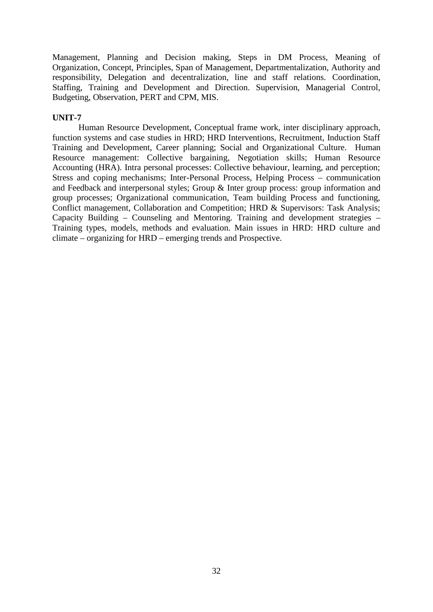Management, Planning and Decision making, Steps in DM Process, Meaning of Organization, Concept, Principles, Span of Management, Departmentalization, Authority and responsibility, Delegation and decentralization, line and staff relations. Coordination, Staffing, Training and Development and Direction. Supervision, Managerial Control, Budgeting, Observation, PERT and CPM, MIS.

# **UNIT-7**

Human Resource Development, Conceptual frame work, inter disciplinary approach, function systems and case studies in HRD; HRD Interventions, Recruitment, Induction Staff Training and Development, Career planning; Social and Organizational Culture. Human Resource management: Collective bargaining, Negotiation skills; Human Resource Accounting (HRA). Intra personal processes: Collective behaviour, learning, and perception; Stress and coping mechanisms; Inter-Personal Process, Helping Process – communication and Feedback and interpersonal styles; Group & Inter group process: group information and group processes; Organizational communication, Team building Process and functioning, Conflict management, Collaboration and Competition; HRD & Supervisors: Task Analysis; Capacity Building – Counseling and Mentoring. Training and development strategies – Training types, models, methods and evaluation. Main issues in HRD: HRD culture and climate – organizing for HRD – emerging trends and Prospective.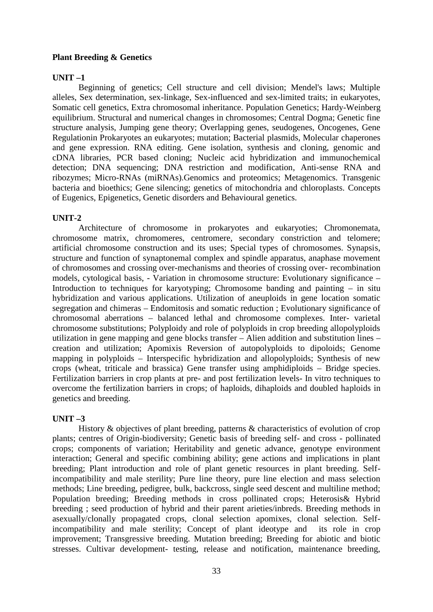# **Plant Breeding & Genetics**

# **UNIT –1**

Beginning of genetics; Cell structure and cell division; Mendel's laws; Multiple alleles, Sex determination, sex-linkage, Sex-influenced and sex-limited traits; in eukaryotes, Somatic cell genetics, Extra chromosomal inheritance. Population Genetics; Hardy-Weinberg equilibrium. Structural and numerical changes in chromosomes; Central Dogma; Genetic fine structure analysis, Jumping gene theory; Overlapping genes, seudogenes, Oncogenes, Gene Regulationin Prokaryotes an eukaryotes; mutation; Bacterial plasmids, Molecular chaperones and gene expression. RNA editing. Gene isolation, synthesis and cloning, genomic and cDNA libraries, PCR based cloning; Nucleic acid hybridization and immunochemical detection; DNA sequencing; DNA restriction and modification, Anti-sense RNA and ribozymes; Micro-RNAs (miRNAs).Genomics and proteomics; Metagenomics. Transgenic bacteria and bioethics; Gene silencing; genetics of mitochondria and chloroplasts. Concepts of Eugenics, Epigenetics, Genetic disorders and Behavioural genetics.

# **UNIT-2**

Architecture of chromosome in prokaryotes and eukaryoties; Chromonemata, chromosome matrix, chromomeres, centromere, secondary constriction and telomere; artificial chromosome construction and its uses; Special types of chromosomes. Synapsis, structure and function of synaptonemal complex and spindle apparatus, anaphase movement of chromosomes and crossing over-mechanisms and theories of crossing over- recombination models, cytological basis, - Variation in chromosome structure: Evolutionary significance – Introduction to techniques for karyotyping; Chromosome banding and painting – in situ hybridization and various applications. Utilization of aneuploids in gene location somatic segregation and chimeras – Endomitosis and somatic reduction ; Evolutionary significance of chromosomal aberrations – balanced lethal and chromosome complexes. Inter- varietal chromosome substitutions; Polyploidy and role of polyploids in crop breeding allopolyploids utilization in gene mapping and gene blocks transfer – Alien addition and substitution lines – creation and utilization; Apomixis Reversion of autopolyploids to dipoloids; Genome mapping in polyploids – Interspecific hybridization and allopolyploids; Synthesis of new crops (wheat, triticale and brassica) Gene transfer using amphidiploids – Bridge species. Fertilization barriers in crop plants at pre- and post fertilization levels- In vitro techniques to overcome the fertilization barriers in crops; of haploids, dihaploids and doubled haploids in genetics and breeding.

# **UNIT –3**

History & objectives of plant breeding, patterns & characteristics of evolution of crop plants; centres of Origin-biodiversity; Genetic basis of breeding self- and cross - pollinated crops; components of variation; Heritability and genetic advance, genotype environment interaction; General and specific combining ability; gene actions and implications in plant breeding; Plant introduction and role of plant genetic resources in plant breeding. Selfincompatibility and male sterility; Pure line theory, pure line election and mass selection methods; Line breeding, pedigree, bulk, backcross, single seed descent and multiline method; Population breeding; Breeding methods in cross pollinated crops; Heterosis& Hybrid breeding ; seed production of hybrid and their parent arieties/inbreds. Breeding methods in asexually/clonally propagated crops, clonal selection apomixes, clonal selection. Selfincompatibility and male sterility; Concept of plant ideotype and its role in crop improvement; Transgressive breeding. Mutation breeding; Breeding for abiotic and biotic stresses. Cultivar development- testing, release and notification, maintenance breeding,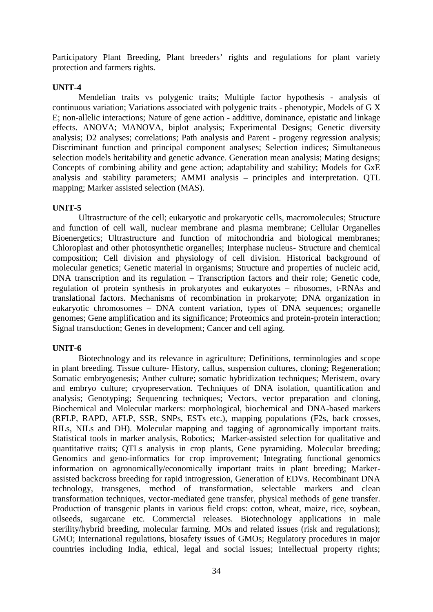Participatory Plant Breeding, Plant breeders' rights and regulations for plant variety protection and farmers rights.

# **UNIT-4**

Mendelian traits vs polygenic traits; Multiple factor hypothesis - analysis of continuous variation; Variations associated with polygenic traits - phenotypic, Models of G X E; non-allelic interactions; Nature of gene action - additive, dominance, epistatic and linkage effects. ANOVA; MANOVA, biplot analysis; Experimental Designs; Genetic diversity analysis; D2 analyses; correlations; Path analysis and Parent - progeny regression analysis; Discriminant function and principal component analyses; Selection indices; Simultaneous selection models heritability and genetic advance. Generation mean analysis; Mating designs; Concepts of combining ability and gene action; adaptability and stability; Models for GxE analysis and stability parameters; AMMI analysis – principles and interpretation. QTL mapping: Marker assisted selection (MAS).

### **UNIT-5**

Ultrastructure of the cell; eukaryotic and prokaryotic cells, macromolecules; Structure and function of cell wall, nuclear membrane and plasma membrane; Cellular Organelles Bioenergetics; Ultrastructure and function of mitochondria and biological membranes; Chloroplast and other photosynthetic organelles; Interphase nucleus- Structure and chemical composition; Cell division and physiology of cell division. Historical background of molecular genetics; Genetic material in organisms; Structure and properties of nucleic acid, DNA transcription and its regulation – Transcription factors and their role; Genetic code, regulation of protein synthesis in prokaryotes and eukaryotes – ribosomes, t-RNAs and translational factors. Mechanisms of recombination in prokaryote; DNA organization in eukaryotic chromosomes – DNA content variation, types of DNA sequences; organelle genomes; Gene amplification and its significance; Proteomics and protein-protein interaction; Signal transduction; Genes in development; Cancer and cell aging.

# **UNIT-6**

Biotechnology and its relevance in agriculture; Definitions, terminologies and scope in plant breeding. Tissue culture- History, callus, suspension cultures, cloning; Regeneration; Somatic embryogenesis; Anther culture; somatic hybridization techniques; Meristem, ovary and embryo culture; cryopreservation. Techniques of DNA isolation, quantification and analysis; Genotyping; Sequencing techniques; Vectors, vector preparation and cloning, Biochemical and Molecular markers: morphological, biochemical and DNA-based markers (RFLP, RAPD, AFLP, SSR, SNPs, ESTs etc.), mapping populations (F2s, back crosses, RILs, NILs and DH). Molecular mapping and tagging of agronomically important traits. Statistical tools in marker analysis, Robotics; Marker-assisted selection for qualitative and quantitative traits; QTLs analysis in crop plants, Gene pyramiding. Molecular breeding; Genomics and geno-informatics for crop improvement; Integrating functional genomics information on agronomically/economically important traits in plant breeding; Marker assisted backcross breeding for rapid introgression, Generation of EDVs. Recombinant DNA technology, transgenes, method of transformation, selectable markers and clean transformation techniques, vector-mediated gene transfer, physical methods of gene transfer. Production of transgenic plants in various field crops: cotton, wheat, maize, rice, soybean, oilseeds, sugarcane etc. Commercial releases. Biotechnology applications in male sterility/hybrid breeding, molecular farming. MOs and related issues (risk and regulations); GMO; International regulations, biosafety issues of GMOs; Regulatory procedures in major countries including India, ethical, legal and social issues; Intellectual property rights;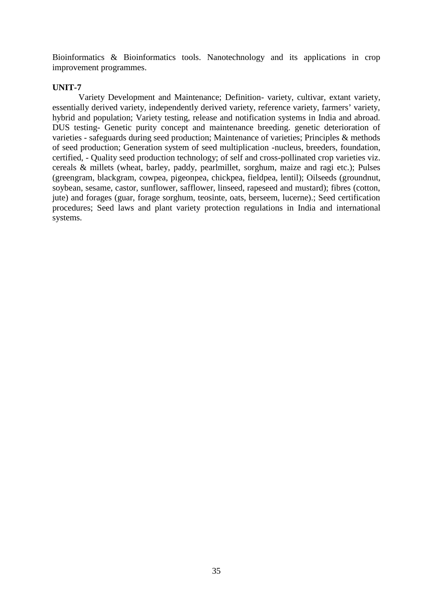Bioinformatics & Bioinformatics tools. Nanotechnology and its applications in crop improvement programmes.

# **UNIT-7**

Variety Development and Maintenance; Definition- variety, cultivar, extant variety, essentially derived variety, independently derived variety, reference variety, farmers' variety, hybrid and population; Variety testing, release and notification systems in India and abroad. DUS testing- Genetic purity concept and maintenance breeding. genetic deterioration of varieties - safeguards during seed production; Maintenance of varieties; Principles & methods of seed production; Generation system of seed multiplication -nucleus, breeders, foundation, certified, - Quality seed production technology; of self and cross-pollinated crop varieties viz. cereals & millets (wheat, barley, paddy, pearlmillet, sorghum, maize and ragi etc.); Pulses (greengram, blackgram, cowpea, pigeonpea, chickpea, fieldpea, lentil); Oilseeds (groundnut, soybean, sesame, castor, sunflower, safflower, linseed, rapeseed and mustard); fibres (cotton, jute) and forages (guar, forage sorghum, teosinte, oats, berseem, lucerne).; Seed certification procedures; Seed laws and plant variety protection regulations in India and international systems.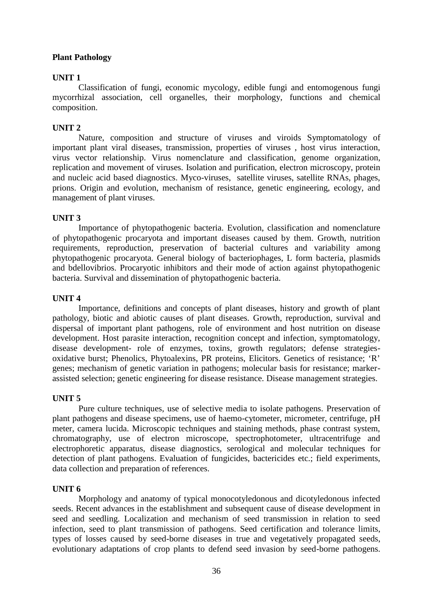# **Plant Pathology**

# **UNIT 1**

Classification of fungi, economic mycology, edible fungi and entomogenous fungi mycorrhizal association, cell organelles, their morphology, functions and chemical composition.

# **UNIT 2**

Nature, composition and structure of viruses and viroids Symptomatology of important plant viral diseases, transmission, properties of viruses, host virus interaction, virus vector relationship. Virus nomenclature and classification, genome organization, replication and movement of viruses. Isolation and purification, electron microscopy, protein and nucleic acid based diagnostics. Myco-viruses, satellite viruses, satellite RNAs, phages, prions. Origin and evolution, mechanism of resistance, genetic engineering, ecology, and management of plant viruses.

# **UNIT 3**

Importance of phytopathogenic bacteria. Evolution, classification and nomenclature of phytopathogenic procaryota and important diseases caused by them. Growth, nutrition requirements, reproduction, preservation of bacterial cultures and variability among phytopathogenic procaryota. General biology of bacteriophages, L form bacteria, plasmids and bdellovibrios. Procaryotic inhibitors and their mode of action against phytopathogenic bacteria. Survival and dissemination of phytopathogenic bacteria.

# **UNIT 4**

Importance, definitions and concepts of plant diseases, history and growth of plant pathology, biotic and abiotic causes of plant diseases. Growth, reproduction, survival and dispersal of important plant pathogens, role of environment and host nutrition on disease development. Host parasite interaction, recognition concept and infection, symptomatology, disease development- role of enzymes, toxins, growth regulators; defense strategies oxidative burst; Phenolics, Phytoalexins, PR proteins, Elicitors. Genetics of resistance; 'R' genes; mechanism of genetic variation in pathogens; molecular basis for resistance; marker assisted selection; genetic engineering for disease resistance. Disease management strategies.

# **UNIT 5**

Pure culture techniques, use of selective media to isolate pathogens. Preservation of plant pathogens and disease specimens, use of haemo-cytometer, micrometer, centrifuge, pH meter, camera lucida. Microscopic techniques and staining methods, phase contrast system, chromatography, use of electron microscope, spectrophotometer, ultracentrifuge and electrophoretic apparatus, disease diagnostics, serological and molecular techniques for detection of plant pathogens. Evaluation of fungicides, bactericides etc.; field experiments, data collection and preparation of references.

# **UNIT 6**

Morphology and anatomy of typical monocotyledonous and dicotyledonous infected seeds. Recent advances in the establishment and subsequent cause of disease development in seed and seedling. Localization and mechanism of seed transmission in relation to seed infection, seed to plant transmission of pathogens. Seed certification and tolerance limits, types of losses caused by seed-borne diseases in true and vegetatively propagated seeds, evolutionary adaptations of crop plants to defend seed invasion by seed-borne pathogens.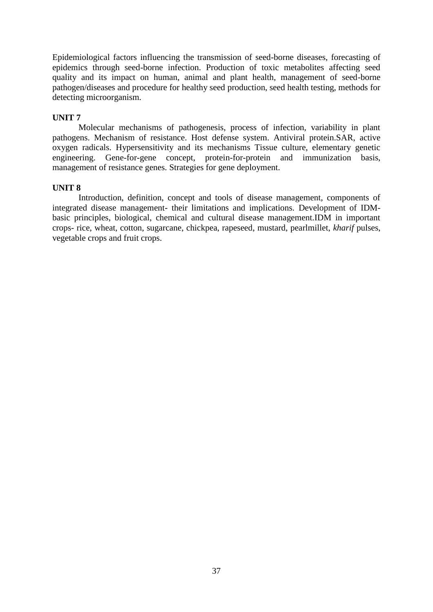Epidemiological factors influencing the transmission of seed-borne diseases, forecasting of epidemics through seed-borne infection. Production of toxic metabolites affecting seed quality and its impact on human, animal and plant health, management of seed-borne pathogen/diseases and procedure for healthy seed production, seed health testing, methods for detecting microorganism.

# **UNIT 7**

Molecular mechanisms of pathogenesis, process of infection, variability in plant pathogens. Mechanism of resistance. Host defense system. Antiviral protein.SAR, active oxygen radicals. Hypersensitivity and its mechanisms Tissue culture, elementary genetic engineering. Gene-for-gene concept, protein-for-protein and immunization basis, management of resistance genes. Strategies for gene deployment.

# **UNIT 8**

Introduction, definition, concept and tools of disease management, components of integrated disease management- their limitations and implications. Development of IDM basic principles, biological, chemical and cultural disease management.IDM in important crops- rice, wheat, cotton, sugarcane, chickpea, rapeseed, mustard, pearlmillet, *kharif* pulses, vegetable crops and fruit crops.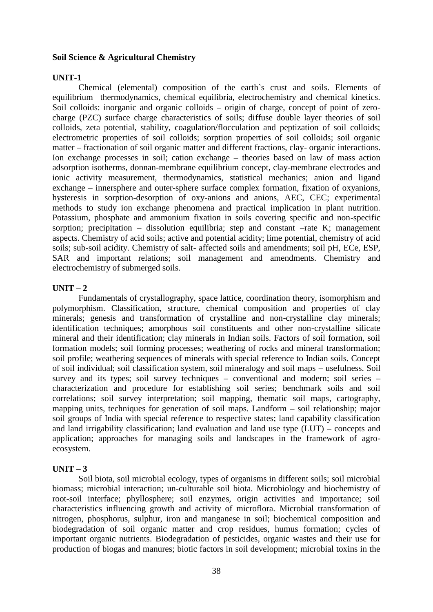## **Soil Science & Agricultural Chemistry**

### **UNIT-1**

Chemical (elemental) composition of the earth`s crust and soils. Elements of equilibrium thermodynamics, chemical equilibria, electrochemistry and chemical kinetics. Soil colloids: inorganic and organic colloids – origin of charge, concept of point of zero charge (PZC) surface charge characteristics of soils; diffuse double layer theories of soil colloids, zeta potential, stability, coagulation/flocculation and peptization of soil colloids; electrometric properties of soil colloids; sorption properties of soil colloids; soil organic matter – fractionation of soil organic matter and different fractions, clay- organic interactions. Ion exchange processes in soil; cation exchange – theories based on law of mass action adsorption isotherms, donnan-membrane equilibrium concept, clay-membrane electrodes and ionic activity measurement, thermodynamics, statistical mechanics; anion and ligand exchange – innersphere and outer-sphere surface complex formation, fixation of oxyanions, hysteresis in sorption-desorption of oxy-anions and anions, AEC, CEC; experimental methods to study ion exchange phenomena and practical implication in plant nutrition. Potassium, phosphate and ammonium fixation in soils covering specific and non-specific sorption; precipitation – dissolution equilibria; step and constant –rate K; management aspects. Chemistry of acid soils; active and potential acidity; lime potential, chemistry of acid soils; sub-soil acidity. Chemistry of salt- affected soils and amendments; soil pH, ECe, ESP, SAR and important relations; soil management and amendments. Chemistry and electrochemistry of submerged soils.

### $UNIT - 2$

Fundamentals of crystallography, space lattice, coordination theory, isomorphism and polymorphism. Classification, structure, chemical composition and properties of clay minerals; genesis and transformation of crystalline and non-crystalline clay minerals; identification techniques; amorphous soil constituents and other non-crystalline silicate mineral and their identification; clay minerals in Indian soils. Factors of soil formation, soil formation models; soil forming processes; weathering of rocks and mineral transformation; soil profile; weathering sequences of minerals with special reference to Indian soils. Concept of soil individual; soil classification system, soil mineralogy and soil maps – usefulness. Soil survey and its types; soil survey techniques – conventional and modern; soil series – characterization and procedure for establishing soil series; benchmark soils and soil correlations; soil survey interpretation; soil mapping, thematic soil maps, cartography, mapping units, techniques for generation of soil maps. Landform – soil relationship; major soil groups of India with special reference to respective states; land capability classification and land irrigability classification; land evaluation and land use type (LUT) – concepts and application; approaches for managing soils and landscapes in the framework of agro ecosystem.

### $UNIT - 3$

Soil biota, soil microbial ecology, types of organisms in different soils; soil microbial biomass; microbial interaction; un-culturable soil biota. Microbiology and biochemistry of root-soil interface; phyllosphere; soil enzymes, origin activities and importance; soil characteristics influencing growth and activity of microflora. Microbial transformation of nitrogen, phosphorus, sulphur, iron and manganese in soil; biochemical composition and biodegradation of soil organic matter and crop residues, humus formation; cycles of important organic nutrients. Biodegradation of pesticides, organic wastes and their use for production of biogas and manures; biotic factors in soil development; microbial toxins in the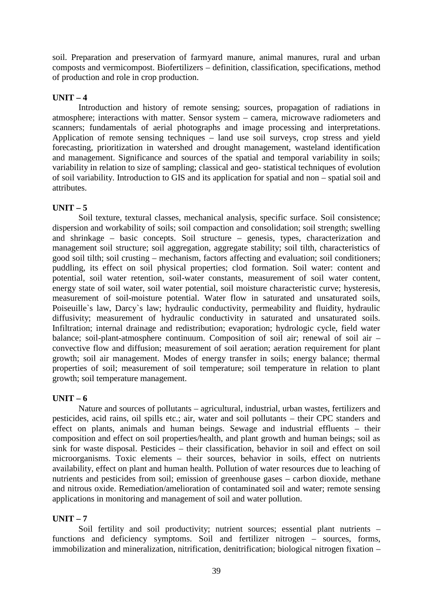soil. Preparation and preservation of farmyard manure, animal manures, rural and urban composts and vermicompost. Biofertilizers – definition, classification, specifications, method of production and role in crop production.

# $UNIT - 4$

Introduction and history of remote sensing; sources, propagation of radiations in atmosphere; interactions with matter. Sensor system – camera, microwave radiometers and scanners; fundamentals of aerial photographs and image processing and interpretations. Application of remote sensing techniques – land use soil surveys, crop stress and yield forecasting, prioritization in watershed and drought management, wasteland identification and management. Significance and sources of the spatial and temporal variability in soils; variability in relation to size of sampling; classical and geo- statistical techniques of evolution of soil variability. Introduction to GIS and its application for spatial and non – spatial soil and attributes.

# $UNIT - 5$

Soil texture, textural classes, mechanical analysis, specific surface. Soil consistence; dispersion and workability of soils; soil compaction and consolidation; soil strength; swelling and shrinkage – basic concepts. Soil structure – genesis, types, characterization and management soil structure; soil aggregation, aggregate stability; soil tilth, characteristics of good soil tilth; soil crusting – mechanism, factors affecting and evaluation; soil conditioners; puddling, its effect on soil physical properties; clod formation. Soil water: content and potential, soil water retention, soil-water constants, measurement of soil water content, energy state of soil water, soil water potential, soil moisture characteristic curve; hysteresis, measurement of soil-moisture potential. Water flow in saturated and unsaturated soils, Poiseuille`s law, Darcy`s law; hydraulic conductivity, permeability and fluidity, hydraulic diffusivity; measurement of hydraulic conductivity in saturated and unsaturated soils. Infiltration; internal drainage and redistribution; evaporation; hydrologic cycle, field water balance; soil-plant-atmosphere continuum. Composition of soil air; renewal of soil air – convective flow and diffusion; measurement of soil aeration; aeration requirement for plant growth; soil air management. Modes of energy transfer in soils; energy balance; thermal properties of soil; measurement of soil temperature; soil temperature in relation to plant growth; soil temperature management.

# **UNIT – 6**

Nature and sources of pollutants – agricultural, industrial, urban wastes, fertilizers and pesticides, acid rains, oil spills etc.; air, water and soil pollutants – their CPC standers and effect on plants, animals and human beings. Sewage and industrial effluents – their composition and effect on soil properties/health, and plant growth and human beings; soil as sink for waste disposal. Pesticides – their classification, behavior in soil and effect on soil microorganisms. Toxic elements – their sources, behavior in soils, effect on nutrients availability, effect on plant and human health. Pollution of water resources due to leaching of nutrients and pesticides from soil; emission of greenhouse gases – carbon dioxide, methane and nitrous oxide. Remediation/amelioration of contaminated soil and water; remote sensing applications in monitoring and management of soil and water pollution.

# $\textbf{I} \cdot \textbf{I} \cdot \textbf{N} \cdot \textbf{I} = 7$

Soil fertility and soil productivity; nutrient sources; essential plant nutrients – functions and deficiency symptoms. Soil and fertilizer nitrogen – sources, forms, immobilization and mineralization, nitrification, denitrification; biological nitrogen fixation –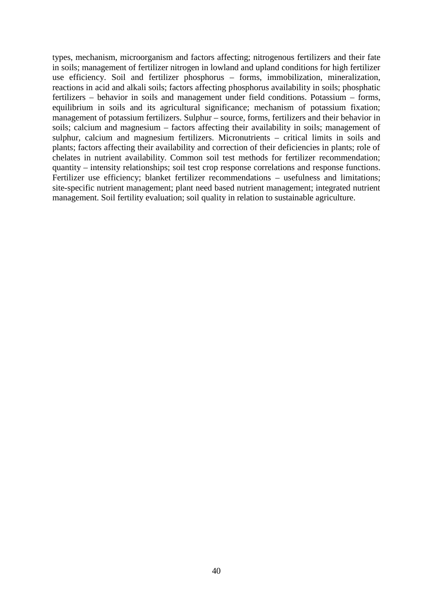types, mechanism, microorganism and factors affecting; nitrogenous fertilizers and their fate in soils; management of fertilizer nitrogen in lowland and upland conditions for high fertilizer use efficiency. Soil and fertilizer phosphorus – forms, immobilization, mineralization, reactions in acid and alkali soils; factors affecting phosphorus availability in soils; phosphatic fertilizers – behavior in soils and management under field conditions. Potassium – forms, equilibrium in soils and its agricultural significance; mechanism of potassium fixation; management of potassium fertilizers. Sulphur – source, forms, fertilizers and their behavior in soils; calcium and magnesium – factors affecting their availability in soils; management of sulphur, calcium and magnesium fertilizers. Micronutrients – critical limits in soils and plants; factors affecting their availability and correction of their deficiencies in plants; role of chelates in nutrient availability. Common soil test methods for fertilizer recommendation; quantity – intensity relationships; soil test crop response correlations and response functions. Fertilizer use efficiency; blanket fertilizer recommendations – usefulness and limitations; site-specific nutrient management; plant need based nutrient management; integrated nutrient management. Soil fertility evaluation; soil quality in relation to sustainable agriculture.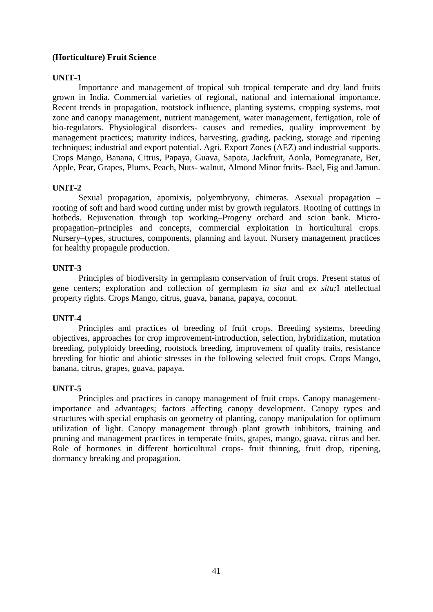# **(Horticulture) Fruit Science**

# **UNIT-1**

Importance and management of tropical sub tropical temperate and dry land fruits grown in India. Commercial varieties of regional, national and international importance. Recent trends in propagation, rootstock influence, planting systems, cropping systems, root zone and canopy management, nutrient management, water management, fertigation, role of bio-regulators. Physiological disorders- causes and remedies, quality improvement by management practices; maturity indices, harvesting, grading, packing, storage and ripening techniques; industrial and export potential. Agri. Export Zones (AEZ) and industrial supports. Crops Mango, Banana, Citrus, Papaya, Guava, Sapota, Jackfruit, Aonla, Pomegranate, Ber, Apple, Pear, Grapes, Plums, Peach, Nuts- walnut, Almond Minor fruits- Bael, Fig and Jamun.

# **UNIT-2**

Sexual propagation, apomixis, polyembryony, chimeras. Asexual propagation – rooting of soft and hard wood cutting under mist by growth regulators. Rooting of cuttings in hotbeds. Rejuvenation through top working–Progeny orchard and scion bank. Micro propagation–principles and concepts, commercial exploitation in horticultural crops. Nursery–types, structures, components, planning and layout. Nursery management practices for healthy propagule production.

# **UNIT-3**

Principles of biodiversity in germplasm conservation of fruit crops. Present status of gene centers; exploration and collection of germplasm *in situ* and *ex situ;*I ntellectual property rights. Crops Mango, citrus, guava, banana, papaya, coconut.

# **UNIT-4**

Principles and practices of breeding of fruit crops. Breeding systems, breeding objectives, approaches for crop improvement-introduction, selection, hybridization, mutation breeding, polyploidy breeding, rootstock breeding, improvement of quality traits, resistance breeding for biotic and abiotic stresses in the following selected fruit crops. Crops Mango, banana, citrus, grapes, guava, papaya.

# **UNIT-5**

Principles and practices in canopy management of fruit crops. Canopy managementimportance and advantages; factors affecting canopy development. Canopy types and structures with special emphasis on geometry of planting, canopy manipulation for optimum utilization of light. Canopy management through plant growth inhibitors, training and pruning and management practices in temperate fruits, grapes, mango, guava, citrus and ber. Role of hormones in different horticultural crops- fruit thinning, fruit drop, ripening, dormancy breaking and propagation.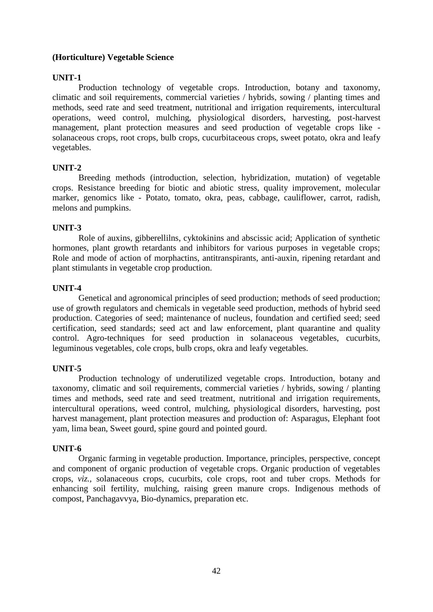# **(Horticulture) Vegetable Science**

# **UNIT-1**

Production technology of vegetable crops. Introduction, botany and taxonomy, climatic and soil requirements, commercial varieties / hybrids, sowing / planting times and methods, seed rate and seed treatment, nutritional and irrigation requirements, intercultural operations, weed control, mulching, physiological disorders, harvesting, post-harvest management, plant protection measures and seed production of vegetable crops like solanaceous crops, root crops, bulb crops, cucurbitaceous crops, sweet potato, okra and leafy vegetables.

### **UNIT-2**

Breeding methods (introduction, selection, hybridization, mutation) of vegetable crops. Resistance breeding for biotic and abiotic stress, quality improvement, molecular marker, genomics like - Potato, tomato, okra, peas, cabbage, cauliflower, carrot, radish, melons and pumpkins.

# **UNIT-3**

Role of auxins, gibberellilns, cyktokinins and abscissic acid; Application of synthetic hormones, plant growth retardants and inhibitors for various purposes in vegetable crops; Role and mode of action of morphactins, antitranspirants, anti-auxin, ripening retardant and plant stimulants in vegetable crop production.

### **UNIT-4**

Genetical and agronomical principles of seed production; methods of seed production; use of growth regulators and chemicals in vegetable seed production, methods of hybrid seed production. Categories of seed; maintenance of nucleus, foundation and certified seed; seed certification, seed standards; seed act and law enforcement, plant quarantine and quality control. Agro-techniques for seed production in solanaceous vegetables, cucurbits, leguminous vegetables, cole crops, bulb crops, okra and leafy vegetables.

# **UNIT-5**

Production technology of underutilized vegetable crops. Introduction, botany and taxonomy, climatic and soil requirements, commercial varieties / hybrids, sowing / planting times and methods, seed rate and seed treatment, nutritional and irrigation requirements, intercultural operations, weed control, mulching, physiological disorders, harvesting, post harvest management, plant protection measures and production of: Asparagus, Elephant foot yam, lima bean, Sweet gourd, spine gourd and pointed gourd.

### **UNIT-6**

Organic farming in vegetable production. Importance, principles, perspective, concept and component of organic production of vegetable crops. Organic production of vegetables crops, *viz.,* solanaceous crops, cucurbits, cole crops, root and tuber crops. Methods for enhancing soil fertility, mulching, raising green manure crops. Indigenous methods of compost, Panchagavvya, Bio-dynamics, preparation etc.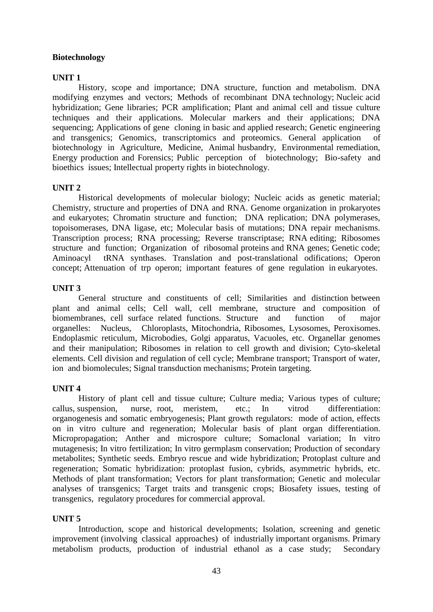# **Biotechnology**

# **UNIT 1**

History, scope and importance; DNA structure, function and metabolism. DNA modifying enzymes and vectors; Methods of recombinant DNA technology; Nucleic acid hybridization; Gene libraries; PCR amplification; Plant and animal cell and tissue culture techniques and their applications. Molecular markers and their applications; DNA sequencing; Applications of gene cloning in basic and applied research; Genetic engineering and transgenics; Genomics, transcriptomics and proteomics. General application of biotechnology in Agriculture, Medicine, Animal husbandry, Environmental remediation, Energy production and Forensics; Public perception of biotechnology; Bio-safety and bioethics issues; Intellectual property rights in biotechnology.

# **UNIT 2**

Historical developments of molecular biology; Nucleic acids as genetic material; Chemistry, structure and properties of DNA and RNA. Genome organization in prokaryotes and eukaryotes; Chromatin structure and function; DNA replication; DNA polymerases, topoisomerases, DNA ligase, etc; Molecular basis of mutations; DNA repair mechanisms. Transcription process; RNA processing; Reverse transcriptase; RNA editing; Ribosomes structure and function; Organization of ribosomal proteins and RNA genes; Genetic code; Aminoacyl tRNA synthases. Translation and post-translational odifications; Operon concept; Attenuation of trp operon; important features of gene regulation in eukaryotes.

# **UNIT 3**

General structure and constituents of cell; Similarities and distinction between plant and animal cells; Cell wall, cell membrane, structure and composition of biomembranes, cell surface related functions. Structure and function of major organelles: Nucleus, Chloroplasts, Mitochondria, Ribosomes, Lysosomes, Peroxisomes. Endoplasmic reticulum, Microbodies, Golgi apparatus, Vacuoles, etc. Organellar genomes and their manipulation; Ribosomes in relation to cell growth and division; Cyto-skeletal elements. Cell division and regulation of cell cycle; Membrane transport; Transport of water, ion and biomolecules; Signal transduction mechanisms; Protein targeting.

# **UNIT 4**

History of plant cell and tissue culture; Culture media; Various types of culture; callus, suspension, nurse, root, meristem, etc.; In vitrod differentiation: organogenesis and somatic embryogenesis; Plant growth regulators: mode of action, effects on in vitro culture and regeneration; Molecular basis of plant organ differentiation. Micropropagation; Anther and microspore culture; Somaclonal variation; In vitro mutagenesis; In vitro fertilization; In vitro germplasm conservation; Production of secondary metabolites; Synthetic seeds. Embryo rescue and wide hybridization; Protoplast culture and regeneration; Somatic hybridization: protoplast fusion, cybrids, asymmetric hybrids, etc. Methods of plant transformation; Vectors for plant transformation; Genetic and molecular analyses of transgenics; Target traits and transgenic crops; Biosafety issues, testing of transgenics, regulatory procedures for commercial approval.

# **UNIT 5**

Introduction, scope and historical developments; Isolation, screening and genetic improvement (involving classical approaches) of industrially important organisms. Primary metabolism products, production of industrial ethanol as a case study; Secondary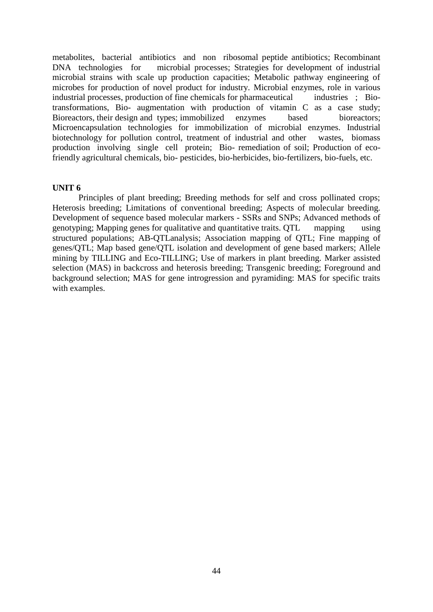metabolites, bacterial antibiotics and non ribosomal peptide antibiotics; Recombinant DNA technologies for microbial processes; Strategies for development of industrial microbial strains with scale up production capacities; Metabolic pathway engineering of microbes for production of novel product for industry. Microbial enzymes, role in various industrial processes, production of fine chemicals for pharmaceutical industries ; Biotransformations, Bio- augmentation with production of vitamin C as a case study; Bioreactors, their design and types; immobilized enzymes based bioreactors; Microencapsulation technologies for immobilization of microbial enzymes. Industrial biotechnology for pollution control, treatment of industrial and other wastes, biomass production involving single cell protein; Bio- remediation of soil; Production of ecofriendly agricultural chemicals, bio- pesticides, bio-herbicides, bio-fertilizers, bio-fuels, etc.

### **UNIT 6**

Principles of plant breeding; Breeding methods for self and cross pollinated crops; Heterosis breeding; Limitations of conventional breeding; Aspects of molecular breeding. Development of sequence based molecular markers - SSRs and SNPs; Advanced methods of genotyping; Mapping genes for qualitative and quantitative traits. QTL mapping using structured populations; AB-QTLanalysis; Association mapping of QTL; Fine mapping of genes/QTL; Map based gene/QTL isolation and development of gene based markers; Allele mining by TILLING and Eco-TILLING; Use of markers in plant breeding. Marker assisted selection (MAS) in backcross and heterosis breeding; Transgenic breeding; Foreground and background selection; MAS for gene introgression and pyramiding: MAS for specific traits with examples.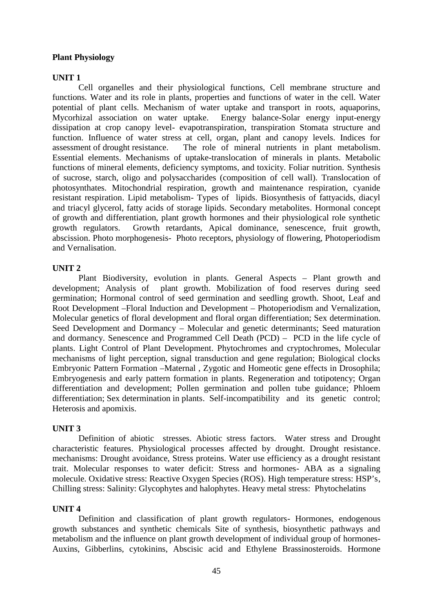# **Plant Physiology**

### **UNIT 1**

Cell organelles and their physiological functions, Cell membrane structure and functions. Water and its role in plants, properties and functions of water in the cell. Water potential of plant cells. Mechanism of water uptake and transport in roots, aquaporins, Mycorhizal association on water uptake. Energy balance-Solar energy input-energy dissipation at crop canopy level- evapotranspiration, transpiration Stomata structure and function. Influence of water stress at cell, organ, plant and canopy levels. Indices for assessment of drought resistance. The role of mineral nutrients in plant metabolism. Essential elements. Mechanisms of uptake-translocation of minerals in plants. Metabolic functions of mineral elements, deficiency symptoms, and toxicity. Foliar nutrition. Synthesis of sucrose, starch, oligo and polysaccharides (composition of cell wall). Translocation of photosynthates. Mitochondrial respiration, growth and maintenance respiration, cyanide resistant respiration. Lipid metabolism- Types of lipids. Biosynthesis of fattyacids, diacyl and triacyl glycerol, fatty acids of storage lipids. Secondary metabolites. Hormonal concept of growth and differentiation, plant growth hormones and their physiological role synthetic growth regulators. Growth retardants, Apical dominance, senescence, fruit growth, abscission. Photo morphogenesis- Photo receptors, physiology of flowering, Photoperiodism and Vernalisation.

# **UNIT 2**

Plant Biodiversity, evolution in plants. General Aspects – Plant growth and development; Analysis of plant growth. Mobilization of food reserves during seed germination; Hormonal control of seed germination and seedling growth. Shoot, Leaf and Root Development –Floral Induction and Development – Photoperiodism and Vernalization, Molecular genetics of floral development and floral organ differentiation; Sex determination. Seed Development and Dormancy – Molecular and genetic determinants; Seed maturation and dormancy. Senescence and Programmed Cell Death (PCD) – PCD in the life cycle of plants. Light Control of Plant Development. Phytochromes and cryptochromes, Molecular mechanisms of light perception, signal transduction and gene regulation; Biological clocks Embryonic Pattern Formation –Maternal , Zygotic and Homeotic gene effects in Drosophila; Embryogenesis and early pattern formation in plants. Regeneration and totipotency; Organ differentiation and development; Pollen germination and pollen tube guidance; Phloem differentiation; Sex determination in plants. Self-incompatibility and its genetic control; Heterosis and apomixis.

### **UNIT 3**

Definition of abiotic stresses. Abiotic stress factors. Water stress and Drought characteristic features. Physiological processes affected by drought. Drought resistance. mechanisms: Drought avoidance, Stress proteins. Water use efficiency as a drought resistant trait. Molecular responses to water deficit: Stress and hormones- ABA as a signaling molecule. Oxidative stress: Reactive Oxygen Species (ROS). High temperature stress: HSP's, Chilling stress: Salinity: Glycophytes and halophytes. Heavy metal stress: Phytochelatins

### **UNIT 4**

Definition and classification of plant growth regulators- Hormones, endogenous growth substances and synthetic chemicals Site of synthesis, biosynthetic pathways and metabolism and the influence on plant growth development of individual group of hormones- Auxins, Gibberlins, cytokinins, Abscisic acid and Ethylene Brassinosteroids. Hormone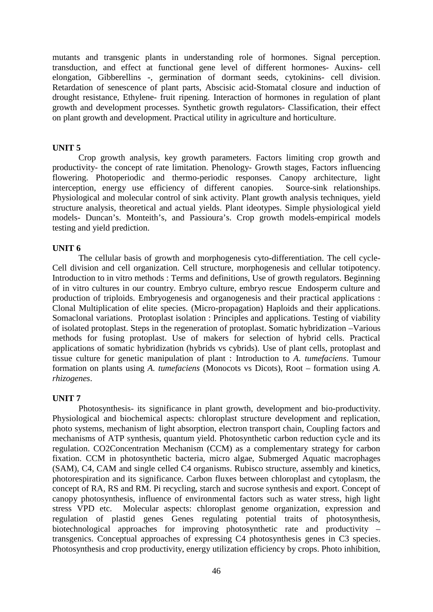mutants and transgenic plants in understanding role of hormones. Signal perception. transduction, and effect at functional gene level of different hormones- Auxins- cell elongation, Gibberellins -, germination of dormant seeds, cytokinins- cell division. Retardation of senescence of plant parts, Abscisic acid-Stomatal closure and induction of drought resistance, Ethylene- fruit ripening. Interaction of hormones in regulation of plant growth and development processes. Synthetic growth regulators- Classification, their effect on plant growth and development. Practical utility in agriculture and horticulture.

# **UNIT 5**

Crop growth analysis, key growth parameters. Factors limiting crop growth and productivity- the concept of rate limitation. Phenology- Growth stages, Factors influencing flowering. Photoperiodic and thermo-periodic responses. Canopy architecture, light interception, energy use efficiency of different canopies. Source-sink relationships. Physiological and molecular control of sink activity. Plant growth analysis techniques, yield structure analysis, theoretical and actual yields. Plant ideotypes. Simple physiological yield models- Duncan's. Monteith's, and Passioura's. Crop growth models-empirical models testing and yield prediction.

### **UNIT 6**

The cellular basis of growth and morphogenesis cyto-differentiation. The cell cycle- Cell division and cell organization. Cell structure, morphogenesis and cellular totipotency. Introduction to in vitro methods : Terms and definitions, Use of growth regulators. Beginning of in vitro cultures in our country. Embryo culture, embryo rescue Endosperm culture and production of triploids. Embryogenesis and organogenesis and their practical applications : Clonal Multiplication of elite species. (Micro-propagation) Haploids and their applications. Somaclonal variations. Protoplast isolation : Principles and applications. Testing of viability of isolated protoplast. Steps in the regeneration of protoplast. Somatic hybridization –Various methods for fusing protoplast. Use of makers for selection of hybrid cells. Practical applications of somatic hybridization (hybrids vs cybrids). Use of plant cells, protoplast and tissue culture for genetic manipulation of plant : Introduction to *A. tumefaciens*. Tumour formation on plants using *A. tumefaciens* (Monocots vs Dicots), Root – formation using *A. rhizogenes*.

# **UNIT 7**

Photosynthesis- its significance in plant growth, development and bio-productivity. Physiological and biochemical aspects: chloroplast structure development and replication, photo systems, mechanism of light absorption, electron transport chain, Coupling factors and mechanisms of ATP synthesis, quantum yield. Photosynthetic carbon reduction cycle and its regulation. CO2Concentration Mechanism (CCM) as a complementary strategy for carbon fixation. CCM in photosynthetic bacteria, micro algae, Submerged Aquatic macrophages (SAM), C4, CAM and single celled C4 organisms. Rubisco structure, assembly and kinetics, photorespiration and its significance. Carbon fluxes between chloroplast and cytoplasm, the concept of RA, RS and RM. Pi recycling, starch and sucrose synthesis and export. Concept of canopy photosynthesis, influence of environmental factors such as water stress, high light stress VPD etc. Molecular aspects: chloroplast genome organization, expression and regulation of plastid genes Genes regulating potential traits of photosynthesis, biotechnological approaches for improving photosynthetic rate and productivity – transgenics. Conceptual approaches of expressing C4 photosynthesis genes in C3 species. Photosynthesis and crop productivity, energy utilization efficiency by crops. Photo inhibition,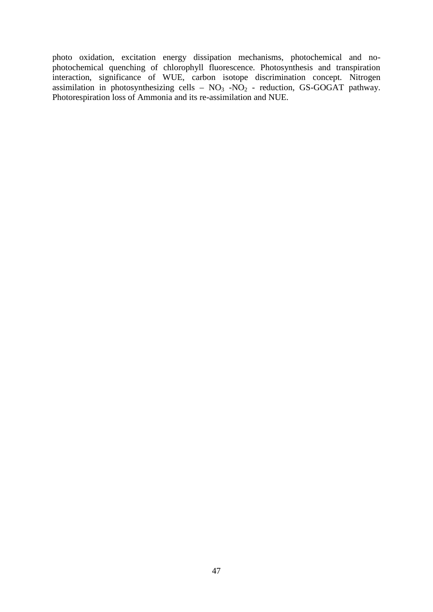photo oxidation, excitation energy dissipation mechanisms, photochemical and no photochemical quenching of chlorophyll fluorescence. Photosynthesis and transpiration interaction, significance of WUE, carbon isotope discrimination concept. Nitrogen assimilation in photosynthesizing cells –  $NO<sub>3</sub>$  - $NO<sub>2</sub>$  - reduction, GS-GOGAT pathway. Photorespiration loss of Ammonia and its re-assimilation and NUE.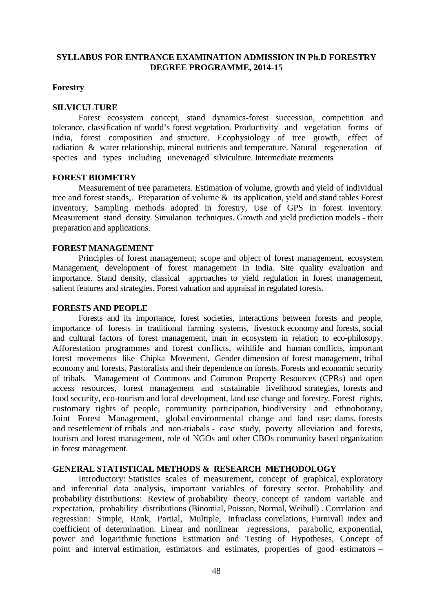## **SYLLABUS FOR ENTRANCE EXAMINATION ADMISSION IN Ph.D FORESTRY DEGREE PROGRAMME, 2014-15**

### **Forestry**

### **SILVICULTURE**

Forest ecosystem concept, stand dynamics-forest succession, competition and tolerance, classification of world's forest vegetation. Productivity and vegetation forms of India, forest composition and structure. Ecophysiology of tree growth, effect of radiation & water relationship, mineral nutrients and temperature. Natural regeneration of species and types including unevenaged silviculture. Intermediate treatments

### **FOREST BIOMETRY**

Measurement of tree parameters. Estimation of volume, growth and yield of individual tree and forest stands,. Preparation of volume & its application, yield and stand tables Forest inventory, Sampling methods adopted in forestry, Use of GPS in forest inventory. Measurement stand density. Simulation techniques. Growth and yield prediction models - their preparation and applications.

### **FOREST MANAGEMENT**

Principles of forest management; scope and object of forest management, ecosystem Management, development of forest management in India. Site quality evaluation and importance. Stand density, classical approaches to yield regulation in forest management, salient features and strategies. Forest valuation and appraisal in regulated forests.

#### **FORESTS AND PEOPLE**

Forests and its importance, forest societies, interactions between forests and people, importance of forests in traditional farming systems, livestock economy and forests, social and cultural factors of forest management, man in ecosystem in relation to eco-philosopy. Afforestation programmes and forest conflicts, wildlife and human conflicts, important forest movements like Chipka Movement, Gender dimension of forest management, tribal economy and forests. Pastoralists and their dependence on forests. Forests and economic security of tribals. Management of Commons and Common Property Resources (CPRs) and open access resources, forest management and sustainable livelihood strategies, forests and food security, eco-tourism and local development, land use change and forestry. Forest rights, customary rights of people, community participation, biodiversity and ethnobotany, Joint Forest Management, global environmental change and land use; dams, forests and resettlement of tribals and non-triabals - case study, poverty alleviation and forests, tourism and forest management, role of NGOs and other CBOs community based organization in forest management.

# **GENERAL STATISTICAL METHODS & RESEARCH METHODOLOGY**

Introductory: Statistics scales of measurement, concept of graphical, exploratory and inferential data analysis, important variables of forestry sector. Probability and probability distributions: Review of probability theory, concept of random variable and expectation, probability distributions (Binomial, Poisson, Normal, Weibull) . Correlation and regression: Simple, Rank, Partial, Multiple, Infraclass correlations, Furnivall Index and coefficient of determination. Linear and nonlinear regressions, parabolic, exponential, power and logarithmic functions Estimation and Testing of Hypotheses, Concept of point and interval estimation, estimators and estimates, properties of good estimators –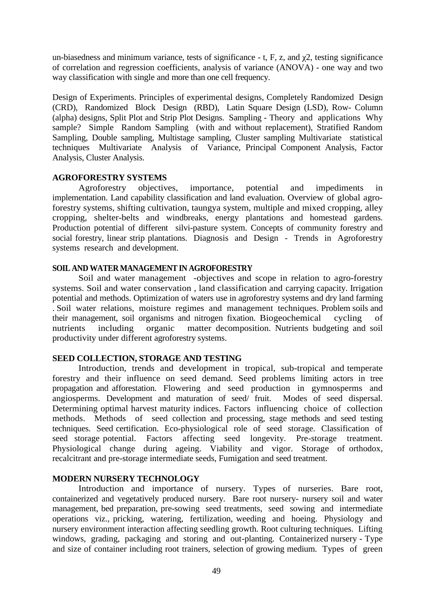un-biasedness and minimum variance, tests of significance  $-$  t, F, z, and 2, testing significance of correlation and regression coefficients, analysis of variance (ANOVA) - one way and two way classification with single and more than one cell frequency.

Design of Experiments. Principles of experimental designs, Completely Randomized Design (CRD), Randomized Block Design (RBD), Latin Square Design (LSD), Row- Column (alpha) designs, Split Plot and Strip Plot Designs. Sampling - Theory and applications Why sample? Simple Random Sampling (with and without replacement), Stratified Random Sampling, Double sampling, Multistage sampling, Cluster sampling Multivariate statistical techniques Multivariate Analysis of Variance, Principal Component Analysis, Factor Analysis, Cluster Analysis.

# **AGROFORESTRY SYSTEMS**

Agroforestry objectives, importance, potential and impediments in implementation. Land capability classification and land evaluation. Overview of global agroforestry systems, shifting cultivation, taungya system, multiple and mixed cropping, alley cropping, shelter-belts and windbreaks, energy plantations and homestead gardens. Production potential of different silvi-pasture system. Concepts of community forestry and social forestry, linear strip plantations. Diagnosis and Design - Trends in Agroforestry systems research and development.

### **SOIL AND WATER MANAGEMENT IN AGROFORESTRY**

Soil and water management -objectives and scope in relation to agro-forestry systems. Soil and water conservation , land classification and carrying capacity. Irrigation potential and methods. Optimization of waters use in agroforestry systems and dry land farming . Soil water relations, moisture regimes and management techniques. Problem soils and their management, soil organisms and nitrogen fixation. Biogeochemical cycling of nutrients including organic matter decomposition. Nutrients budgeting and soil productivity under different agroforestry systems.

# **SEED COLLECTION, STORAGE AND TESTING**

Introduction, trends and development in tropical, sub-tropical and temperate forestry and their influence on seed demand. Seed problems limiting actors in tree propagation and afforestation. Flowering and seed production in gymnosperms and angiosperms. Development and maturation of seed/ fruit. Modes of seed dispersal. Determining optimal harvest maturity indices. Factors influencing choice of collection methods. Methods of seed collection and processing, stage methods and seed testing techniques. Seed certification. Eco-physiological role of seed storage. Classification of seed storage potential. Factors affecting seed longevity. Pre-storage treatment. Physiological change during ageing. Viability and vigor. Storage of orthodox, recalcitrant and pre-storage intermediate seeds, Fumigation and seed treatment.

# **MODERN NURSERY TECHNOLOGY**

Introduction and importance of nursery. Types of nurseries. Bare root, containerized and vegetatively produced nursery. Bare root nursery- nursery soil and water management, bed preparation, pre-sowing seed treatments, seed sowing and intermediate operations viz., pricking, watering, fertilization, weeding and hoeing. Physiology and nursery environment interaction affecting seedling growth. Root culturing techniques. Lifting windows, grading, packaging and storing and out-planting. Containerized nursery - Type and size of container including root trainers, selection of growing medium. Types of green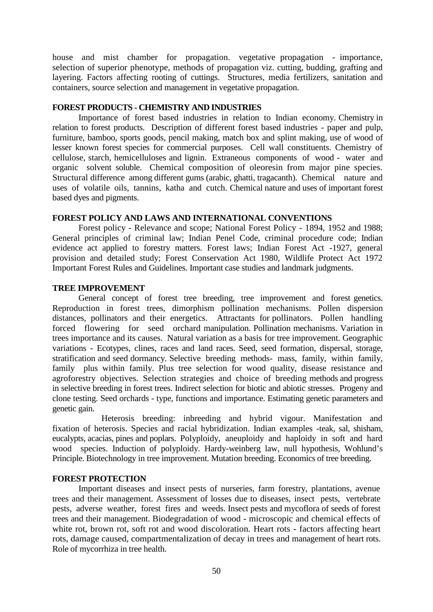house and mist chamber for propagation. vegetative propagation - importance, selection of superior phenotype, methods of propagation viz. cutting, budding, grafting and layering. Factors affecting rooting of cuttings. Structures, media fertilizers, sanitation and containers, source selection and management in vegetative propagation.

### **FOREST PRODUCTS - CHEMISTRY AND INDUSTRIES**

Importance of forest based industries in relation to Indian economy. Chemistry in relation to forest products. Description of different forest based industries - paper and pulp, furniture, bamboo, sports goods, pencil making, match box and splint making, use of wood of lesser known forest species for commercial purposes. Cell wall constituents. Chemistry of cellulose, starch, hemicelluloses and lignin. Extraneous components of wood - water and organic solvent soluble. Chemical composition of oleoresin from major pine species. Structural difference among different gums (arabic, ghatti, tragacanth). Chemical nature and uses of volatile oils, tannins, katha and cutch. Chemical nature and uses of important forest based dyes and pigments.

# **FOREST POLICY AND LAWS AND INTERNATIONAL CONVENTIONS**

Forest policy - Relevance and scope; National Forest Policy - 1894, 1952 and 1988; General principles of criminal law; Indian Penel Code, criminal procedure code; Indian evidence act applied to forestry matters. Forest laws; Indian Forest Act -1927, general provision and detailed study; Forest Conservation Act 1980, Wildlife Protect Act 1972 Important Forest Rules and Guidelines. Important case studies and landmark judgments.

# **TREE IMPROVEMENT**

General concept of forest tree breeding, tree improvement and forest genetics. Reproduction in forest trees, dimorphism pollination mechanisms. Pollen dispersion distances, pollinators and their energetics. Attractants for pollinators. Pollen handling forced flowering for seed orchard manipulation. Pollination mechanisms. Variation in trees importance and its causes. Natural variation as a basis for tree improvement. Geographic variations - Ecotypes, clines, races and land races. Seed, seed formation, dispersal, storage, stratification and seed dormancy. Selective breeding methods- mass, family, within family, family plus within family. Plus tree selection for wood quality, disease resistance and agroforestry objectives. Selection strategies and choice of breeding methods and progress in selective breeding in forest trees. Indirect selection for biotic and abiotic stresses. Progeny and clone testing. Seed orchards - type, functions and importance. Estimating genetic parameters and genetic gain.

Heterosis breeding: inbreeding and hybrid vigour. Manifestation and fixation of heterosis. Species and racial hybridization. Indian examples -teak, sal, shisham, eucalypts, acacias, pines and poplars. Polyploidy, aneuploidy and haploidy in soft and hard wood species. Induction of polyploidy. Hardy-weinberg law, null hypothesis, Wohlund's Principle. Biotechnology in tree improvement. Mutation breeding. Economics of tree breeding.

# **FOREST PROTECTION**

Important diseases and insect pests of nurseries, farm forestry, plantations, avenue trees and their management. Assessment of losses due to diseases, insect pests, vertebrate pests, adverse weather, forest fires and weeds. Insect pests and mycoflora of seeds of forest trees and their management. Biodegradation of wood - microscopic and chemical effects of white rot, brown rot, soft rot and wood discoloration. Heart rots - factors affecting heart rots, damage caused, compartmentalization of decay in trees and management of heart rots. Role of mycorrhiza in tree health.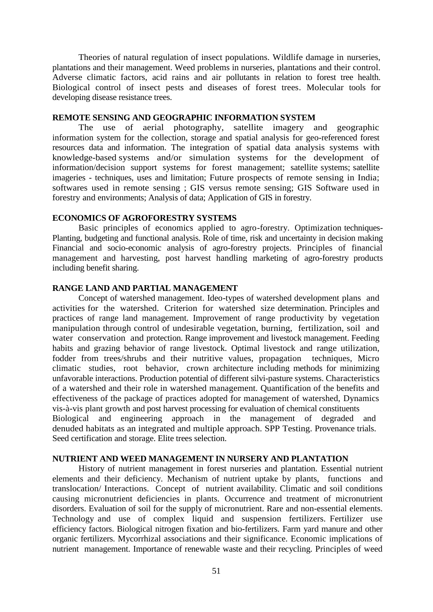Theories of natural regulation of insect populations. Wildlife damage in nurseries, plantations and their management. Weed problems in nurseries, plantations and their control. Adverse climatic factors, acid rains and air pollutants in relation to forest tree health. Biological control of insect pests and diseases of forest trees. Molecular tools for developing disease resistance trees.

# **REMOTE SENSING AND GEOGRAPHIC INFORMATION SYSTEM**

The use of aerial photography, satellite imagery and geographic information system for the collection, storage and spatial analysis for geo-referenced forest resources data and information. The integration of spatial data analysis systems with knowledge-based systems and/or simulation systems for the development of information/decision support systems for forest management; satellite systems; satellite imageries - techniques, uses and limitation; Future prospects of remote sensing in India; softwares used in remote sensing ; GIS versus remote sensing; GIS Software used in forestry and environments; Analysis of data; Application of GIS in forestry.

### **ECONOMICS OF AGROFORESTRY SYSTEMS**

Basic principles of economics applied to agro-forestry. Optimization techniques- Planting, budgeting and functional analysis. Role of time, risk and uncertainty in decision making Financial and socio-economic analysis of agro-forestry projects. Principles of financial management and harvesting, post harvest handling marketing of agro-forestry products including benefit sharing.

#### **RANGE LAND AND PARTIAL MANAGEMENT**

Concept of watershed management. Ideo-types of watershed development plans and activities for the watershed. Criterion for watershed size determination. Principles and practices of range land management. Improvement of range productivity by vegetation manipulation through control of undesirable vegetation, burning, fertilization, soil and water conservation and protection. Range improvement and livestock management. Feeding habits and grazing behavior of range livestock. Optimal livestock and range utilization, fodder from trees/shrubs and their nutritive values, propagation techniques, Micro climatic studies, root behavior, crown architecture including methods for minimizing unfavorable interactions. Production potential of different silvi-pasture systems. Characteristics of a watershed and their role in watershed management. Quantification of the benefits and effectiveness of the package of practices adopted for management of watershed, Dynamics vis-à-vis plant growth and post harvest processing for evaluation of chemical constituents Biological and engineering approach in the management of degraded and denuded habitats as an integrated and multiple approach. SPP Testing. Provenance trials. Seed certification and storage. Elite trees selection.

### **NUTRIENT AND WEED MANAGEMENT IN NURSERY AND PLANTATION**

History of nutrient management in forest nurseries and plantation. Essential nutrient elements and their deficiency. Mechanism of nutrient uptake by plants, functions and translocation/ Interactions. Concept of nutrient availability. Climatic and soil conditions causing micronutrient deficiencies in plants. Occurrence and treatment of micronutrient disorders. Evaluation of soil for the supply of micronutrient. Rare and non-essential elements. Technology and use of complex liquid and suspension fertilizers. Fertilizer use efficiency factors. Biological nitrogen fixation and bio-fertilizers. Farm yard manure and other organic fertilizers. Mycorrhizal associations and their significance. Economic implications of nutrient management. Importance of renewable waste and their recycling. Principles of weed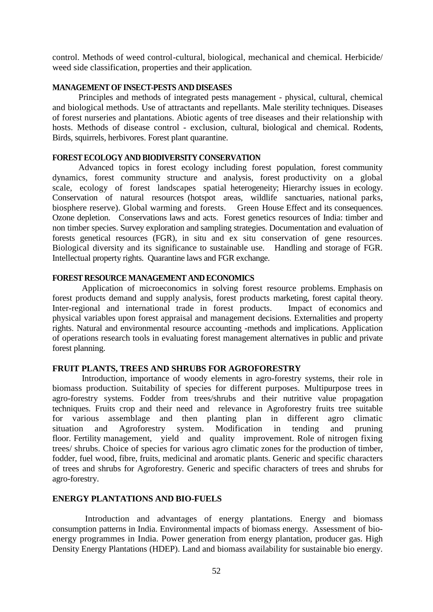control. Methods of weed control-cultural, biological, mechanical and chemical. Herbicide/ weed side classification, properties and their application.

# **MANAGEMENT OF INSECT-PESTS AND DISEASES**

Principles and methods of integrated pests management - physical, cultural, chemical and biological methods. Use of attractants and repellants. Male sterility techniques. Diseases of forest nurseries and plantations. Abiotic agents of tree diseases and their relationship with hosts. Methods of disease control - exclusion, cultural, biological and chemical. Rodents, Birds, squirrels, herbivores. Forest plant quarantine.

### **FOREST ECOLOGY AND BIODIVERSITY CONSERVATION**

Advanced topics in forest ecology including forest population, forest community dynamics, forest community structure and analysis, forest productivity on a global scale, ecology of forest landscapes spatial heterogeneity; Hierarchy issues in ecology. Conservation of natural resources (hotspot areas, wildlife sanctuaries, national parks, biosphere reserve). Global warming and forests. Green House Effect and its consequences. Ozone depletion. Conservations laws and acts. Forest genetics resources of India: timber and non timber species. Survey exploration and sampling strategies. Documentation and evaluation of forests genetical resources (FGR), in situ and ex situ conservation of gene resources. Biological diversity and its significance to sustainable use. Handling and storage of FGR. Intellectual property rights. Quarantine laws and FGR exchange.

## **FOREST RESOURCE MANAGEMENT AND ECONOMICS**

Application of microeconomics in solving forest resource problems. Emphasis on forest products demand and supply analysis, forest products marketing, forest capital theory. Inter-regional and international trade in forest products. Impact of economics and physical variables upon forest appraisal and management decisions. Externalities and property rights. Natural and environmental resource accounting -methods and implications. Application of operations research tools in evaluating forest management alternatives in public and private forest planning.

# **FRUIT PLANTS, TREES AND SHRUBS FOR AGROFORESTRY**

Introduction, importance of woody elements in agro-forestry systems, their role in biomass production. Suitability of species for different purposes. Multipurpose trees in agro-forestry systems. Fodder from trees/shrubs and their nutritive value propagation techniques. Fruits crop and their need and relevance in Agroforestry fruits tree suitable for various assemblage and then planting plan in different agro climatic situation and Agroforestry system. Modification in tending and pruning floor. Fertility management, yield and quality improvement. Role of nitrogen fixing trees/ shrubs. Choice of species for various agro climatic zones for the production of timber, fodder, fuel wood, fibre, fruits, medicinal and aromatic plants. Generic and specific characters of trees and shrubs for Agroforestry. Generic and specific characters of trees and shrubs for agro-forestry.

# **ENERGY PLANTATIONS AND BIO-FUELS**

Introduction and advantages of energy plantations. Energy and biomass consumption patterns in India. Environmental impacts of biomass energy. Assessment of bio energy programmes in India. Power generation from energy plantation, producer gas. High Density Energy Plantations (HDEP). Land and biomass availability for sustainable bio energy.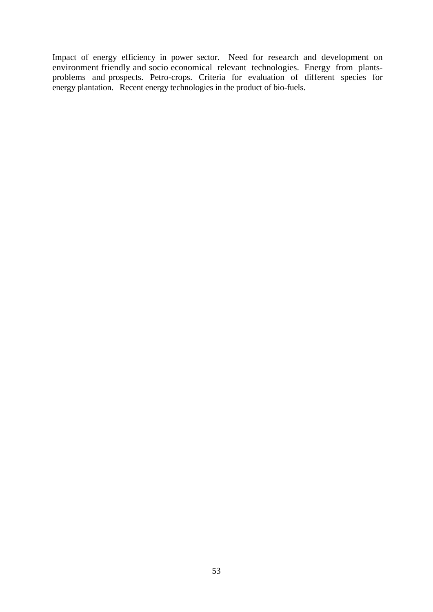Impact of energy efficiency in power sector. Need for research and development on environment friendly and socio economical relevant technologies. Energy from plants problems and prospects. Petro-crops. Criteria for evaluation of different species for energy plantation. Recent energy technologies in the product of bio-fuels.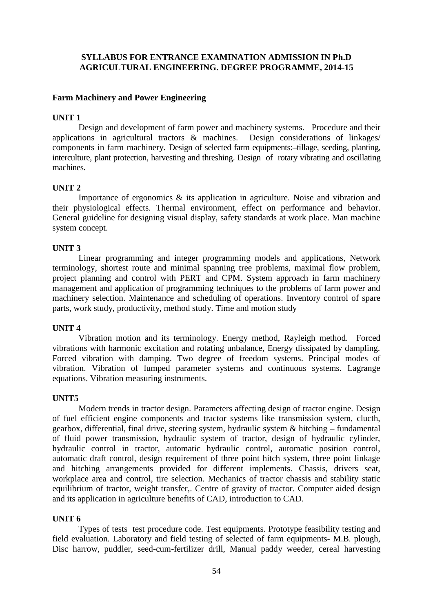# **SYLLABUS FOR ENTRANCE EXAMINATION ADMISSION IN Ph.D AGRICULTURAL ENGINEERING. DEGREE PROGRAMME, 2014-15**

## **Farm Machinery and Power Engineering**

### **UNIT 1**

Design and development of farm power and machinery systems. Procedure and their applications in agricultural tractors & machines. Design considerations of linkages/ components in farm machinery. Design of selected farm equipments:–tillage, seeding, planting, interculture, plant protection, harvesting and threshing. Design of rotary vibrating and oscillating machines.

### **UNIT 2**

Importance of ergonomics & its application in agriculture. Noise and vibration and their physiological effects. Thermal environment, effect on performance and behavior. General guideline for designing visual display, safety standards at work place. Man machine system concept.

### **UNIT 3**

Linear programming and integer programming models and applications, Network terminology, shortest route and minimal spanning tree problems, maximal flow problem, project planning and control with PERT and CPM. System approach in farm machinery management and application of programming techniques to the problems of farm power and machinery selection. Maintenance and scheduling of operations. Inventory control of spare parts, work study, productivity, method study. Time and motion study

### **UNIT 4**

Vibration motion and its terminology. Energy method, Rayleigh method. Forced vibrations with harmonic excitation and rotating unbalance, Energy dissipated by dampling. Forced vibration with damping. Two degree of freedom systems. Principal modes of vibration. Vibration of lumped parameter systems and continuous systems. Lagrange equations. Vibration measuring instruments.

### **UNIT5**

Modern trends in tractor design. Parameters affecting design of tractor engine. Design of fuel efficient engine components and tractor systems like transmission system, clucth, gearbox, differential, final drive, steering system, hydraulic system & hitching – fundamental of fluid power transmission, hydraulic system of tractor, design of hydraulic cylinder, hydraulic control in tractor, automatic hydraulic control, automatic position control, automatic draft control, design requirement of three point hitch system, three point linkage and hitching arrangements provided for different implements. Chassis, drivers seat, workplace area and control, tire selection. Mechanics of tractor chassis and stability static equilibrium of tractor, weight transfer,. Centre of gravity of tractor. Computer aided design and its application in agriculture benefits of CAD, introduction to CAD.

### **UNIT 6**

Types of tests test procedure code. Test equipments. Prototype feasibility testing and field evaluation. Laboratory and field testing of selected of farm equipments- M.B. plough, Disc harrow, puddler, seed-cum-fertilizer drill, Manual paddy weeder, cereal harvesting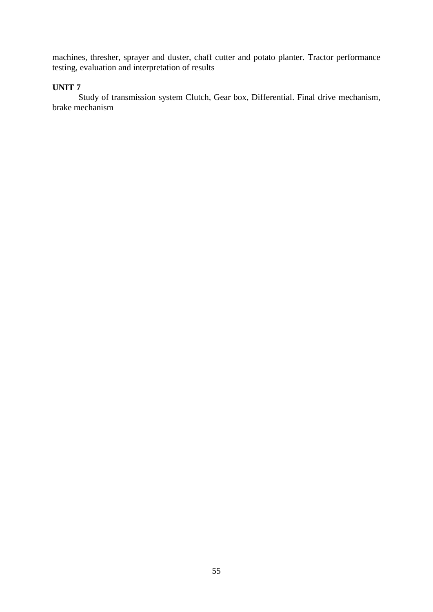machines, thresher, sprayer and duster, chaff cutter and potato planter. Tractor performance testing, evaluation and interpretation of results

# **UNIT 7**

Study of transmission system Clutch, Gear box, Differential. Final drive mechanism, brake mechanism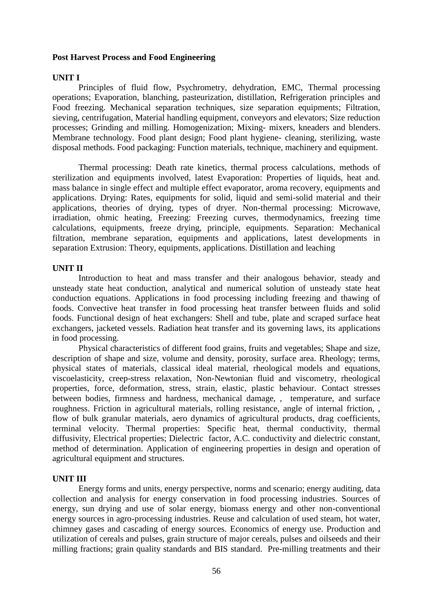### **Post Harvest Process and Food Engineering**

### **UNIT I**

Principles of fluid flow, Psychrometry, dehydration, EMC, Thermal processing operations; Evaporation, blanching, pasteurization, distillation, Refrigeration principles and Food freezing. Mechanical separation techniques, size separation equipments; Filtration, sieving, centrifugation, Material handling equipment, conveyors and elevators; Size reduction processes; Grinding and milling. Homogenization; Mixing- mixers, kneaders and blenders. Membrane technology. Food plant design; Food plant hygiene- cleaning, sterilizing, waste disposal methods. Food packaging: Function materials, technique, machinery and equipment.

Thermal processing: Death rate kinetics, thermal process calculations, methods of sterilization and equipments involved, latest Evaporation: Properties of liquids, heat and. mass balance in single effect and multiple effect evaporator, aroma recovery, equipments and applications. Drying: Rates, equipments for solid, liquid and semi-solid material and their applications, theories of drying, types of dryer. Non-thermal processing: Microwave, irradiation, ohmic heating, Freezing: Freezing curves, thermodynamics, freezing time calculations, equipments, freeze drying, principle, equipments. Separation: Mechanical filtration, membrane separation, equipments and applications, latest developments in separation Extrusion: Theory, equipments, applications. Distillation and leaching

### **UNIT II**

Introduction to heat and mass transfer and their analogous behavior, steady and unsteady state heat conduction, analytical and numerical solution of unsteady state heat conduction equations. Applications in food processing including freezing and thawing of foods. Convective heat transfer in food processing heat transfer between fluids and solid foods. Functional design of heat exchangers: Shell and tube, plate and scraped surface heat exchangers, jacketed vessels. Radiation heat transfer and its governing laws, its applications in food processing.

Physical characteristics of different food grains, fruits and vegetables; Shape and size, description of shape and size, volume and density, porosity, surface area. Rheology; terms, physical states of materials, classical ideal material, rheological models and equations, viscoelasticity, creep-stress relaxation, Non-Newtonian fluid and viscometry, rheological properties, force, deformation, stress, strain, elastic, plastic behaviour. Contact stresses between bodies, firmness and hardness, mechanical damage, , temperature, and surface roughness. Friction in agricultural materials, rolling resistance, angle of internal friction, , flow of bulk granular materials, aero dynamics of agricultural products, drag coefficients, terminal velocity. Thermal properties: Specific heat, thermal conductivity, thermal diffusivity, Electrical properties; Dielectric factor, A.C. conductivity and dielectric constant, method of determination. Application of engineering properties in design and operation of agricultural equipment and structures.

### **UNIT III**

Energy forms and units, energy perspective, norms and scenario; energy auditing, data collection and analysis for energy conservation in food processing industries. Sources of energy, sun drying and use of solar energy, biomass energy and other non-conventional energy sources in agro-processing industries. Reuse and calculation of used steam, hot water, chimney gases and cascading of energy sources. Economics of energy use. Production and utilization of cereals and pulses, grain structure of major cereals, pulses and oilseeds and their milling fractions; grain quality standards and BIS standard. Pre-milling treatments and their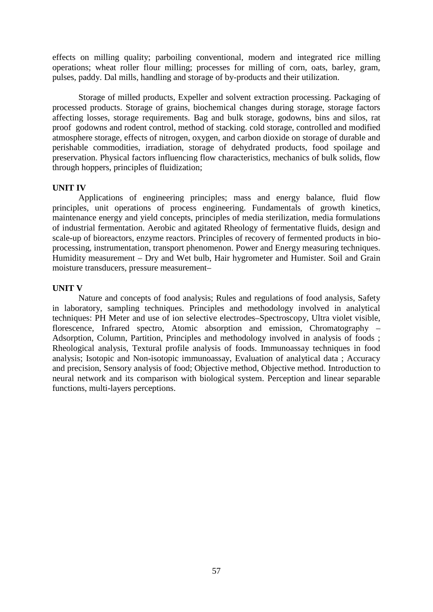effects on milling quality; parboiling conventional, modern and integrated rice milling operations; wheat roller flour milling; processes for milling of corn, oats, barley, gram, pulses, paddy. Dal mills, handling and storage of by-products and their utilization.

Storage of milled products, Expeller and solvent extraction processing. Packaging of processed products. Storage of grains, biochemical changes during storage, storage factors affecting losses, storage requirements. Bag and bulk storage, godowns, bins and silos, rat proof godowns and rodent control, method of stacking. cold storage, controlled and modified atmosphere storage, effects of nitrogen, oxygen, and carbon dioxide on storage of durable and perishable commodities, irradiation, storage of dehydrated products, food spoilage and preservation. Physical factors influencing flow characteristics, mechanics of bulk solids, flow through hoppers, principles of fluidization;

### **UNIT IV**

Applications of engineering principles; mass and energy balance, fluid flow principles, unit operations of process engineering. Fundamentals of growth kinetics, maintenance energy and yield concepts, principles of media sterilization, media formulations of industrial fermentation. Aerobic and agitated Rheology of fermentative fluids, design and scale-up of bioreactors, enzyme reactors. Principles of recovery of fermented products in bio processing, instrumentation, transport phenomenon. Power and Energy measuring techniques. Humidity measurement – Dry and Wet bulb, Hair hygrometer and Humister. Soil and Grain moisture transducers, pressure measurement–

### **UNIT V**

Nature and concepts of food analysis; Rules and regulations of food analysis, Safety in laboratory, sampling techniques. Principles and methodology involved in analytical techniques: PH Meter and use of ion selective electrodes–Spectroscopy, Ultra violet visible, florescence, Infrared spectro, Atomic absorption and emission, Chromatography – Adsorption, Column, Partition, Principles and methodology involved in analysis of foods ; Rheological analysis, Textural profile analysis of foods. Immunoassay techniques in food analysis; Isotopic and Non-isotopic immunoassay, Evaluation of analytical data ; Accuracy and precision, Sensory analysis of food; Objective method, Objective method. Introduction to neural network and its comparison with biological system. Perception and linear separable functions, multi-layers perceptions.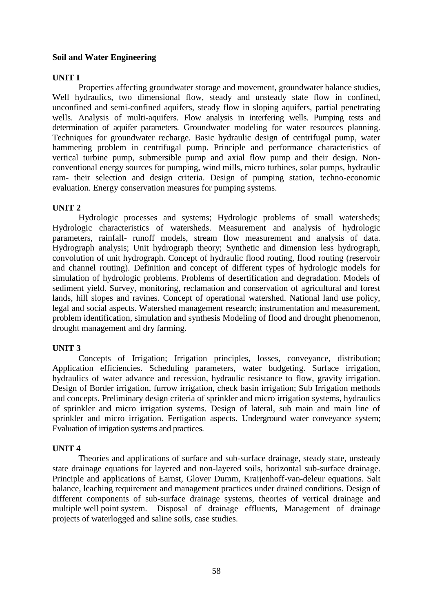# **Soil and Water Engineering**

# **UNIT I**

Properties affecting groundwater storage and movement, groundwater balance studies, Well hydraulics, two dimensional flow, steady and unsteady state flow in confined, unconfined and semi-confined aquifers, steady flow in sloping aquifers, partial penetrating wells. Analysis of multi-aquifers. Flow analysis in interfering wells. Pumping tests and determination of aquifer parameters. Groundwater modeling for water resources planning. Techniques for groundwater recharge. Basic hydraulic design of centrifugal pump, water hammering problem in centrifugal pump. Principle and performance characteristics of vertical turbine pump, submersible pump and axial flow pump and their design. Non conventional energy sources for pumping, wind mills, micro turbines, solar pumps, hydraulic ram- their selection and design criteria. Design of pumping station, techno-economic evaluation. Energy conservation measures for pumping systems.

# **UNIT 2**

Hydrologic processes and systems; Hydrologic problems of small watersheds; Hydrologic characteristics of watersheds. Measurement and analysis of hydrologic parameters, rainfall- runoff models, stream flow measurement and analysis of data. Hydrograph analysis; Unit hydrograph theory; Synthetic and dimension less hydrograph, convolution of unit hydrograph. Concept of hydraulic flood routing, flood routing (reservoir and channel routing). Definition and concept of different types of hydrologic models for simulation of hydrologic problems. Problems of desertification and degradation. Models of sediment yield. Survey, monitoring, reclamation and conservation of agricultural and forest lands, hill slopes and ravines. Concept of operational watershed. National land use policy, legal and social aspects. Watershed management research; instrumentation and measurement, problem identification, simulation and synthesis Modeling of flood and drought phenomenon, drought management and dry farming.

# **UNIT 3**

Concepts of Irrigation; Irrigation principles, losses, conveyance, distribution; Application efficiencies. Scheduling parameters, water budgeting. Surface irrigation, hydraulics of water advance and recession, hydraulic resistance to flow, gravity irrigation. Design of Border irrigation, furrow irrigation, check basin irrigation; Sub Irrigation methods and concepts. Preliminary design criteria of sprinkler and micro irrigation systems, hydraulics of sprinkler and micro irrigation systems. Design of lateral, sub main and main line of sprinkler and micro irrigation. Fertigation aspects. Underground water conveyance system; Evaluation of irrigation systems and practices.

# **UNIT 4**

Theories and applications of surface and sub-surface drainage, steady state, unsteady state drainage equations for layered and non-layered soils, horizontal sub-surface drainage. Principle and applications of Earnst, Glover Dumm, Kraijenhoff-van-deleur equations. Salt balance, leaching requirement and management practices under drained conditions. Design of different components of sub-surface drainage systems, theories of vertical drainage and multiple well point system. Disposal of drainage effluents, Management of drainage projects of waterlogged and saline soils, case studies.